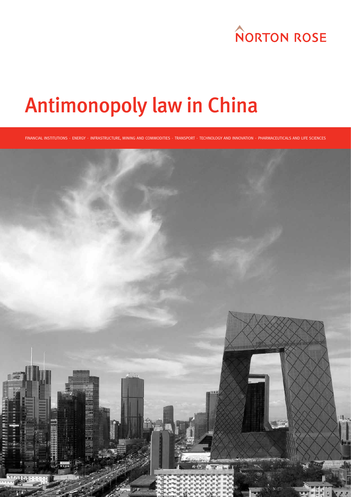# **NORTON ROSE**

# Antimonopoly law in China

FINANCIAL INSTITUTIONS ⋅ ENERGY ⋅ INFRASTRUCTURE, MINING AND COMMODITIES ⋅ TRANSPORT ⋅ TECHNOLOGY AND INNOVATION ⋅ PHARMACEUTICALS AND LIFE SCIENCES

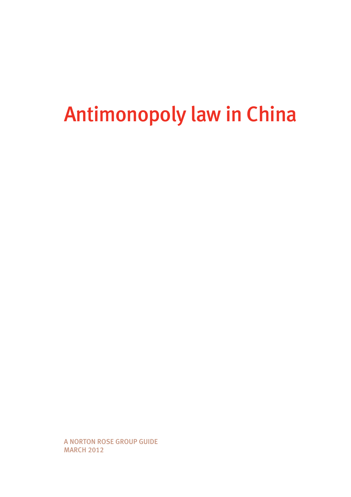# Antimonopoly law in China

A Norton Rose GROUP guide MARCH 2012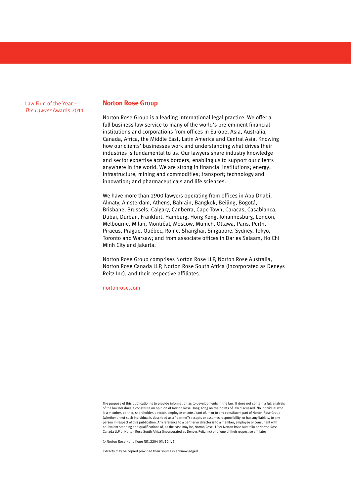Law Firm of the Year – *The Lawyer* Awards 2011

#### **Norton Rose Group**

Norton Rose Group is a leading international legal practice. We offer a full business law service to many of the world's pre-eminent financial institutions and corporations from offices in Europe, Asia, Australia, Canada, Africa, the Middle East, Latin America and Central Asia. Knowing how our clients' businesses work and understanding what drives their industries is fundamental to us. Our lawyers share industry knowledge and sector expertise across borders, enabling us to support our clients anywhere in the world. We are strong in financial institutions; energy; infrastructure, mining and commodities; transport; technology and innovation; and pharmaceuticals and life sciences.

We have more than 2900 lawyers operating from offices in Abu Dhabi. Almaty, Amsterdam, Athens, Bahrain, Bangkok, Beijing, Bogotá, Brisbane, Brussels, Calgary, Canberra, Cape Town, Caracas, Casablanca, Dubai, Durban, Frankfurt, Hamburg, Hong Kong, Johannesburg, London, Melbourne, Milan, Montréal, Moscow, Munich, Ottawa, Paris, Perth, Piraeus, Prague, Québec, Rome, Shanghai, Singapore, Sydney, Tokyo, Toronto and Warsaw; and from associate offices in Dar es Salaam, Ho Chi Minh City and Jakarta.

Norton Rose Group comprises Norton Rose LLP, Norton Rose Australia, Norton Rose Canada LLP, Norton Rose South Africa (incorporated as Deneys Reitz Inc), and their respective affiliates.

nortonrose.com

The purpose of this publication is to provide information as to developments in the law. It does not contain a full analysis of the law nor does it constitute an opinion of Norton Rose Hong Kong on the points of law discussed. No individual who is a member, partner, shareholder, director, employee or consultant of, in or to any constituent part of Norton Rose Group (whether or not such individual is described as a "partner") accepts or assumes responsibility, or has any liability, to any person in respect of this publication. Any reference to a partner or director is to a member, employee or consultant with equivalent standing and qualifications of, as the case may be, Norton Rose LLP or Norton Rose Australia or Norton Rose Canada LLP or Norton Rose South Africa (incorporated as Deneys Reitz Inc) or of one of their respective affiliates.

© Norton Rose Hong Kong NR12204 03/12 (v2)

Extracts may be copied provided their source is acknowledged.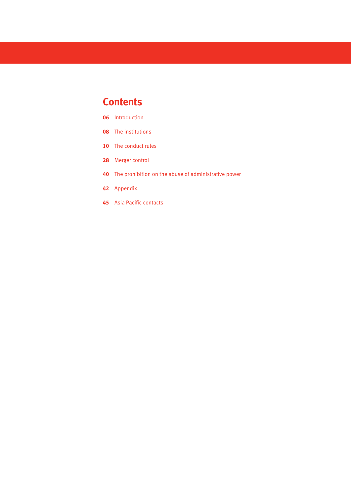# **Contents**

- Introduction
- The institutions
- The conduct rules
- Merger control
- The prohibition on the abuse of administrative power
- Appendix
- Asia Pacific contacts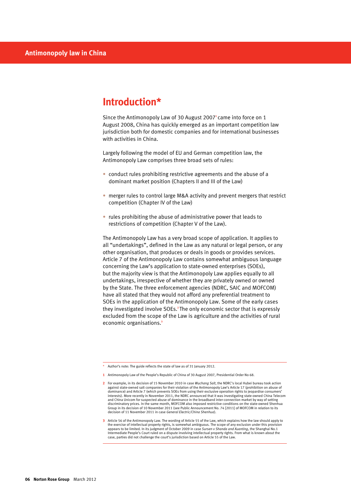# **Introduction\***

Since the Antimonopoly Law of 30 August 2007**1** came into force on 1 August 2008, China has quickly emerged as an important competition law jurisdiction both for domestic companies and for international businesses with activities in China.

Largely following the model of EU and German competition law, the Antimonopoly Law comprises three broad sets of rules:

- conduct rules prohibiting restrictive agreements and the abuse of a dominant market position (Chapters II and III of the Law)
- merger rules to control large M&A activity and prevent mergers that restrict competition (Chapter IV of the Law)
- $\bullet$  rules prohibiting the abuse of administrative power that leads to restrictions of competition (Chapter V of the Law).

The Antimonopoly Law has a very broad scope of application. It applies to all "undertakings", defined in the Law as any natural or legal person, or any other organisation, that produces or deals in goods or provides services. Article 7 of the Antimonopoly Law contains somewhat ambiguous language concerning the Law's application to state-owned enterprises (SOEs), but the majority view is that the Antimonopoly Law applies equally to all undertakings, irrespective of whether they are privately owned or owned by the State. The three enforcement agencies (NDRC, SAIC and MOFCOM) have all stated that they would not afford any preferential treatment to SOEs in the application of the Antimonopoly Law. Some of the early cases they investigated involve SOEs.**2** The only economic sector that is expressly excluded from the scope of the Law is agriculture and the activities of rural economic organisations.**<sup>3</sup>**

\* Author's note: The guide reflects the state of law as of 31 January 2012.

**<sup>1</sup>** Antimonopoly Law of the People's Republic of China of 30 August 2007, Presidential Order No 68.

**<sup>2</sup>** For example, in its decision of 15 November 2010 in case *Wuchang Salt*, the NDRC's local Hubei bureau took action against state-owned salt companies for their violation of the Antimonopoly Law's Article 17 (prohibition on abuse of dominance) and Article 7 (which prevents SOEs from using their exclusive operation rights to jeopardise consumers'<br>interests). More recently in November 2011, the NDRC announced that it was investigating state-owned China and China Unicom for suspected abuse of dominance in the broadband inter-connection market by way of setting discriminatory prices. In the same month, MOFCOM also imposed restrictive conditions on the state-owned Shenhua Group in its decision of 10 November 2011 (see Public Announcement No. 74 [2011] of MOFCOM in relation to its decision of 11 November 2011 in case *General Electric/China Shenhua*).

**<sup>3</sup>** Article 56 of the Antimonopoly Law. The wording of Article 55 of the Law, which explains how the law should apply to the exercise of intellectual property rights, is somewhat ambiguous. The scope of any exclusion under this provision<br>appears to be limited. In its judgment of October 2009 in case *Sursen v Shanda and Xuanting*, the Shangh Intermediate People's Court ruled on a dispute involving intellectual property rights. From what is known about the case, parties did not challenge the court's jurisdiction based on Article 55 of the Law.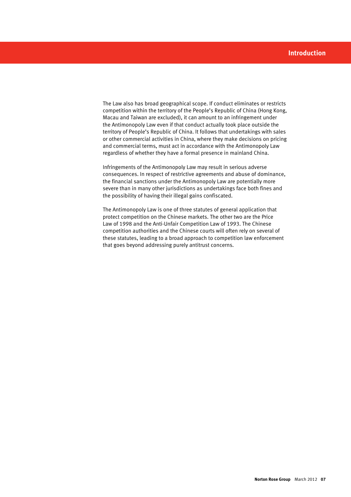The Law also has broad geographical scope. If conduct eliminates or restricts competition within the territory of the People's Republic of China (Hong Kong, Macau and Taiwan are excluded), it can amount to an infringement under the Antimonopoly Law even if that conduct actually took place outside the territory of People's Republic of China. It follows that undertakings with sales or other commercial activities in China, where they make decisions on pricing and commercial terms, must act in accordance with the Antimonopoly Law regardless of whether they have a formal presence in mainland China.

Infringements of the Antimonopoly Law may result in serious adverse consequences. In respect of restrictive agreements and abuse of dominance, the financial sanctions under the Antimonopoly Law are potentially more severe than in many other jurisdictions as undertakings face both fines and the possibility of having their illegal gains confiscated.

The Antimonopoly Law is one of three statutes of general application that protect competition on the Chinese markets. The other two are the Price Law of 1998 and the Anti-Unfair Competition Law of 1993. The Chinese competition authorities and the Chinese courts will often rely on several of these statutes, leading to a broad approach to competition law enforcement that goes beyond addressing purely antitrust concerns.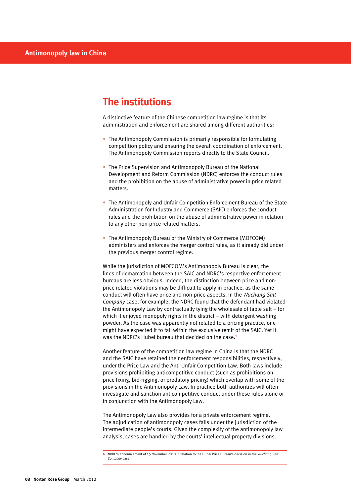# **The institutions**

A distinctive feature of the Chinese competition law regime is that its administration and enforcement are shared among different authorities:

- The Antimonopoly Commission is primarily responsible for formulating competition policy and ensuring the overall coordination of enforcement. The Antimonopoly Commission reports directly to the State Council.
- The Price Supervision and Antimonopoly Bureau of the National Development and Reform Commission (NDRC) enforces the conduct rules and the prohibition on the abuse of administrative power in price related matters.
- The Antimonopoly and Unfair Competition Enforcement Bureau of the State Administration for Industry and Commerce (SAIC) enforces the conduct rules and the prohibition on the abuse of administrative power in relation to any other non-price related matters.
- The Antimonopoly Bureau of the Ministry of Commerce (MOFCOM) administers and enforces the merger control rules, as it already did under the previous merger control regime.

While the jurisdiction of MOFCOM's Antimonopoly Bureau is clear, the lines of demarcation between the SAIC and NDRC's respective enforcement bureaus are less obvious. Indeed, the distinction between price and nonprice related violations may be difficult to apply in practice, as the same conduct will often have price and non-price aspects. In the *Wuchang Salt Company* case, for example, the NDRC found that the defendant had violated the Antimonopoly Law by contractually tying the wholesale of table salt – for which it enjoyed monopoly rights in the district – with detergent washing powder. As the case was apparently not related to a pricing practice, one might have expected it to fall within the exclusive remit of the SAIC. Yet it was the NDRC's Hubei bureau that decided on the case.**<sup>4</sup>**

Another feature of the competition law regime in China is that the NDRC and the SAIC have retained their enforcement responsibilities, respectively, under the Price Law and the Anti-Unfair Competition Law. Both laws include provisions prohibiting anticompetitive conduct (such as prohibitions on price fixing, bid-rigging, or predatory pricing) which overlap with some of the provisions in the Antimonopoly Law. In practice both authorities will often investigate and sanction anticompetitive conduct under these rules alone or in conjunction with the Antimonopoly Law.

The Antimonopoly Law also provides for a private enforcement regime. The adjudication of antimonopoly cases falls under the jurisdiction of the intermediate people's courts. Given the complexity of the antimonopoly law analysis, cases are handled by the courts' intellectual property divisions.

**<sup>4</sup>** NDRC's announcement of 15 November 2010 in relation to the Hubei Price Bureau's decision in the *Wuchang Salt Company* case.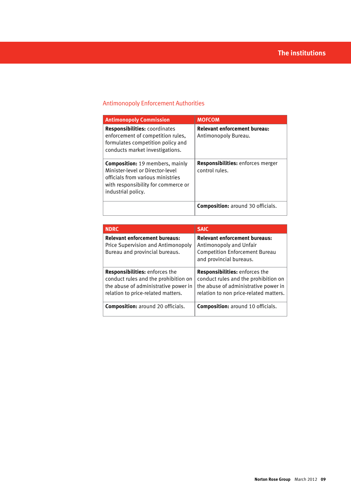# Antimonopoly Enforcement Authorities

| <b>Antimonopoly Commission</b>                                                                                                                                               | <b>MOFCOM</b>                                               |
|------------------------------------------------------------------------------------------------------------------------------------------------------------------------------|-------------------------------------------------------------|
| <b>Responsibilities:</b> coordinates<br>enforcement of competition rules.<br>formulates competition policy and<br>conducts market investigations.                            | <b>Relevant enforcement bureau:</b><br>Antimonopoly Bureau. |
| <b>Composition:</b> 19 members, mainly<br>Minister-level or Director-level<br>officials from various ministries<br>with responsibility for commerce or<br>industrial policy. | Responsibilities: enforces merger<br>control rules.         |
|                                                                                                                                                                              | <b>Composition:</b> around 30 officials.                    |

| <b>NDRC</b>                                                                                                                                                 | <b>SAIC</b>                                                                                                                                                     |
|-------------------------------------------------------------------------------------------------------------------------------------------------------------|-----------------------------------------------------------------------------------------------------------------------------------------------------------------|
| <b>Relevant enforcement bureaus:</b><br>Price Supervision and Antimonopoly<br>Bureau and provincial bureaus.                                                | <b>Relevant enforcement bureaus:</b><br>Antimonopoly and Unfair<br><b>Competition Enforcement Bureau</b><br>and provincial bureaus.                             |
| <b>Responsibilities:</b> enforces the<br>conduct rules and the prohibition on<br>the abuse of administrative power in<br>relation to price-related matters. | <b>Responsibilities:</b> enforces the<br>conduct rules and the prohibition on<br>the abuse of administrative power in<br>relation to non price-related matters. |
| <b>Composition:</b> around 20 officials.                                                                                                                    | <b>Composition:</b> around 10 officials.                                                                                                                        |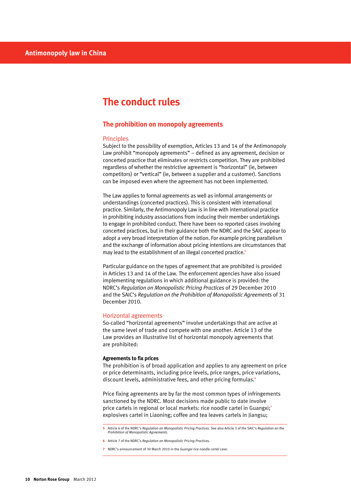# **The conduct rules**

## **The prohibition on monopoly agreements**

# Principles

Subject to the possibility of exemption, Articles 13 and 14 of the Antimonopoly Law prohibit "monopoly agreements" – defined as any agreement, decision or concerted practice that eliminates or restricts competition. They are prohibited regardless of whether the restrictive agreement is "horizontal" (ie, between competitors) or "vertical" (ie, between a supplier and a customer). Sanctions can be imposed even where the agreement has not been implemented.

The Law applies to formal agreements as well as informal arrangements or understandings (concerted practices). This is consistent with international practice. Similarly, the Antimonopoly Law is in line with international practice in prohibiting industry associations from inducing their member undertakings to engage in prohibited conduct. There have been no reported cases involving concerted practices, but in their guidance both the NDRC and the SAIC appear to adopt a very broad interpretation of the notion. For example pricing parallelism and the exchange of information about pricing intentions are circumstances that may lead to the establishment of an illegal concerted practice.**<sup>5</sup>**

Particular guidance on the types of agreement that are prohibited is provided in Articles 13 and 14 of the Law. The enforcement agencies have also issued implementing regulations in which additional guidance is provided: the NDRC's *Regulation on Monopolistic Pricing Practices* of 29 December 2010 and the SAIC's *Regulation on the Prohibition of Monopolistic Agreements* of 31 December 2010.

#### Horizontal agreements

So-called "horizontal agreements" involve undertakings that are active at the same level of trade and compete with one another. Article 13 of the Law provides an illustrative list of horizontal monopoly agreements that are prohibited:

#### **Agreements to fix prices**

The prohibition is of broad application and applies to any agreement on price or price determinants, including price levels, price ranges, price variations, discount levels, administrative fees, and other pricing formulas.**<sup>6</sup>**

Price fixing agreements are by far the most common types of infringements sanctioned by the NDRC. Most decisions made public to date involve price cartels in regional or local markets: rice noodle cartel in Guangxi;**<sup>7</sup>** explosives cartel in Liaoning; coffee and tea leaves cartels in Jiangsu;

**<sup>5</sup>** Article 6 of the NDRC's *Regulation on Monopolistic Pricing Practices*. See also Article 3 of the SAIC's *Regulation on the Prohibition of Monopolistic Agreements*.

**<sup>6</sup>** Article 7 of the NDRC's *Regulation on Monopolistic Pricing Practices*.

**<sup>7</sup>** NDRC's announcement of 30 March 2010 in the *Guangxi rice noodle cartel* case.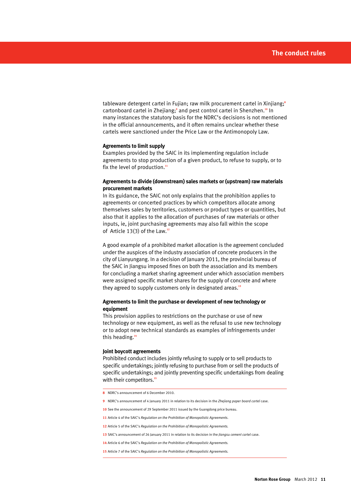tableware detergent cartel in Fujian; raw milk procurement cartel in Xinjiang;**<sup>8</sup>** cartonboard cartel in Zhejiang;<sup>9</sup> and pest control cartel in Shenzhen.<sup>10</sup> In many instances the statutory basis for the NDRC's decisions is not mentioned in the official announcements, and it often remains unclear whether these cartels were sanctioned under the Price Law or the Antimonopoly Law.

#### **Agreements to limit supply**

Examples provided by the SAIC in its implementing regulation include agreements to stop production of a given product, to refuse to supply, or to fix the level of production.**<sup>11</sup>**

#### **Agreements to divide (downstream) sales markets or (upstream) raw materials procurement markets**

In its guidance, the SAIC not only explains that the prohibition applies to agreements or concerted practices by which competitors allocate among themselves sales by territories, customers or product types or quantities, but also that it applies to the allocation of purchases of raw materials or other inputs, ie, joint purchasing agreements may also fall within the scope of Article 13(3) of the Law.**<sup>12</sup>**

A good example of a prohibited market allocation is the agreement concluded under the auspices of the industry association of concrete producers in the city of Lianyungang. In a decision of January 2011, the provincial bureau of the SAIC in Jiangsu imposed fines on both the association and its members for concluding a market sharing agreement under which association members were assigned specific market shares for the supply of concrete and where they agreed to supply customers only in designated areas.**<sup>13</sup>**

#### **Agreements to limit the purchase or development of new technology or equipment**

This provision applies to restrictions on the purchase or use of new technology or new equipment, as well as the refusal to use new technology or to adopt new technical standards as examples of infringements under this heading.**<sup>14</sup>**

#### **Joint boycott agreements**

Prohibited conduct includes jointly refusing to supply or to sell products to specific undertakings; jointly refusing to purchase from or sell the products of specific undertakings; and jointly preventing specific undertakings from dealing with their competitors.**<sup>15</sup>**

- **8** NDRC's announcement of 6 December 2010.
- **9** NDRC's announcement of 4 January 2011 in relation to its decision in the *Zhejiang paper board cartel* case.
- **10** See the announcement of 29 September 2011 issued by the Guangdong price bureau.
- **11** Article 4 of the SAIC's *Regulation on the Prohibition of Monopolistic Agreements*.
- **12** Article 5 of the SAIC's *Regulation on the Prohibition of Monopolistic Agreements.*
- **13** SAIC's announcement of 26 January 2011 in relation to its decision in the *Jiangsu cement cartel* case.
- **14** Article 6 of the SAIC's *Regulation on the Prohibition of Monopolistic Agreements.*
- **15** Article 7 of the SAIC's *Regulation on the Prohibition of Monopolistic Agreements.*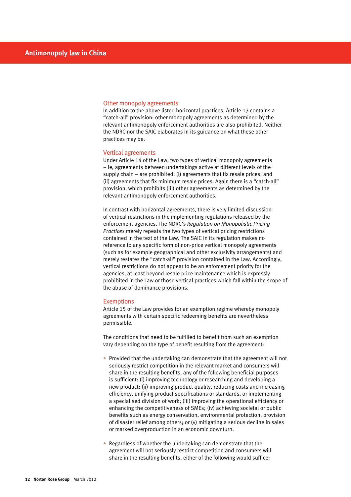#### Other monopoly agreements

In addition to the above listed horizontal practices, Article 13 contains a "catch-all" provision: other monopoly agreements as determined by the relevant antimonopoly enforcement authorities are also prohibited. Neither the NDRC nor the SAIC elaborates in its guidance on what these other practices may be.

#### Vertical agreements

Under Article 14 of the Law, two types of vertical monopoly agreements – ie, agreements between undertakings active at different levels of the supply chain – are prohibited: (i) agreements that fix resale prices; and (ii) agreements that fix minimum resale prices. Again there is a "catch-all" provision, which prohibits (iii) other agreements as determined by the relevant antimonopoly enforcement authorities.

In contrast with horizontal agreements, there is very limited discussion of vertical restrictions in the implementing regulations released by the enforcement agencies. The NDRC's *Regulation on Monopolistic Pricing Practices* merely repeats the two types of vertical pricing restrictions contained in the text of the Law. The SAIC in its regulation makes no reference to any specific form of non-price vertical monopoly agreements (such as for example geographical and other exclusivity arrangements) and merely restates the "catch-all" provision contained in the Law. Accordingly, vertical restrictions do not appear to be an enforcement priority for the agencies, at least beyond resale price maintenance which is expressly prohibited in the Law or those vertical practices which fall within the scope of the abuse of dominance provisions.

#### **Exemptions**

Article 15 of the Law provides for an exemption regime whereby monopoly agreements with certain specific redeeming benefits are nevertheless permissible.

The conditions that need to be fulfilled to benefit from such an exemption vary depending on the type of benefit resulting from the agreement:

- Provided that the undertaking can demonstrate that the agreement will not seriously restrict competition in the relevant market and consumers will share in the resulting benefits, any of the following beneficial purposes is sufficient: (i) improving technology or researching and developing a new product; (ii) improving product quality, reducing costs and increasing efficiency, unifying product specifications or standards, or implementing a specialised division of work; (iii) improving the operational efficiency or enhancing the competitiveness of SMEs; (iv) achieving societal or public benefits such as energy conservation, environmental protection, provision of disaster relief among others; or (v) mitigating a serious decline in sales or marked overproduction in an economic downturn.
- Regardless of whether the undertaking can demonstrate that the agreement will not seriously restrict competition and consumers will share in the resulting benefits, either of the following would suffice: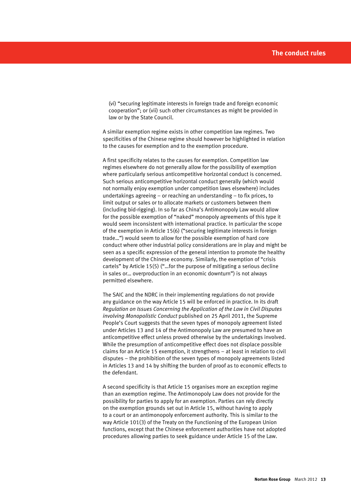(vi) "securing legitimate interests in foreign trade and foreign economic cooperation"; or (vii) such other circumstances as might be provided in law or by the State Council.

A similar exemption regime exists in other competition law regimes. Two specificities of the Chinese regime should however be highlighted in relation to the causes for exemption and to the exemption procedure.

A first specificity relates to the causes for exemption. Competition law regimes elsewhere do not generally allow for the possibility of exemption where particularly serious anticompetitive horizontal conduct is concerned. Such serious anticompetitive horizontal conduct generally (which would not normally enjoy exemption under competition laws elsewhere) includes undertakings agreeing – or reaching an understanding – to fix prices, to limit output or sales or to allocate markets or customers between them (including bid-rigging). In so far as China's Antimonopoly Law would allow for the possible exemption of "naked" monopoly agreements of this type it would seem inconsistent with international practice. In particular the scope of the exemption in Article 15(6) ("securing legitimate interests in foreign trade…") would seem to allow for the possible exemption of hard core conduct where other industrial policy considerations are in play and might be seen as a specific expression of the general intention to promote the healthy development of the Chinese economy. Similarly, the exemption of "crisis cartels" by Article 15(5) ("…for the purpose of mitigating a serious decline in sales or… overproduction in an economic downturn") is not always permitted elsewhere.

The SAIC and the NDRC in their implementing regulations do not provide any guidance on the way Article 15 will be enforced in practice. In its draft *Regulation on Issues Concerning the Application of the Law in Civil Disputes involving Monopolistic Conduct* published on 25 April 2011, the Supreme People's Court suggests that the seven types of monopoly agreement listed under Articles 13 and 14 of the Antimonopoly Law are presumed to have an anticompetitive effect unless proved otherwise by the undertakings involved. While the presumption of anticompetitive effect does not displace possible claims for an Article 15 exemption, it strengthens – at least in relation to civil disputes – the prohibition of the seven types of monopoly agreements listed in Articles 13 and 14 by shifting the burden of proof as to economic effects to the defendant.

A second specificity is that Article 15 organises more an exception regime than an exemption regime. The Antimonopoly Law does not provide for the possibility for parties to apply for an exemption. Parties can rely directly on the exemption grounds set out in Article 15, without having to apply to a court or an antimonopoly enforcement authority. This is similar to the way Article 101(3) of the Treaty on the Functioning of the European Union functions, except that the Chinese enforcement authorities have not adopted procedures allowing parties to seek guidance under Article 15 of the Law.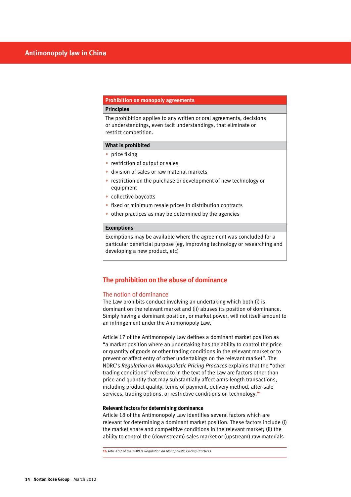# **Prohibition on monopoly agreements**

## **Principles**

The prohibition applies to any written or oral agreements, decisions or understandings, even tacit understandings, that eliminate or restrict competition.

#### **What is prohibited**

- price fixing
- restriction of output or sales
- division of sales or raw material markets
- restriction on the purchase or development of new technology or equipment
- collective boycotts
- fixed or minimum resale prices in distribution contracts
- other practices as may be determined by the agencies

#### **Exemptions**

Exemptions may be available where the agreement was concluded for a particular beneficial purpose (eg, improving technology or researching and developing a new product, etc)

## **The prohibition on the abuse of dominance**

#### The notion of dominance

The Law prohibits conduct involving an undertaking which both (i) is dominant on the relevant market and (ii) abuses its position of dominance. Simply having a dominant position, or market power, will not itself amount to an infringement under the Antimonopoly Law.

Article 17 of the Antimonopoly Law defines a dominant market position as "a market position where an undertaking has the ability to control the price or quantity of goods or other trading conditions in the relevant market or to prevent or affect entry of other undertakings on the relevant market". The NDRC's *Regulation on Monopolistic Pricing Practices* explains that the "other trading conditions" referred to in the text of the Law are factors other than price and quantity that may substantially affect arms-length transactions, including product quality, terms of payment, delivery method, after-sale services, trading options, or restrictive conditions on technology.**<sup>16</sup>**

#### **Relevant factors for determining dominance**

Article 18 of the Antimonopoly Law identifies several factors which are relevant for determining a dominant market position. These factors include (i) the market share and competitive conditions in the relevant market; (ii) the ability to control the (downstream) sales market or (upstream) raw materials

**16** Article 17 of the NDRC's *Regulation on Monopolistic Pricing Practices.*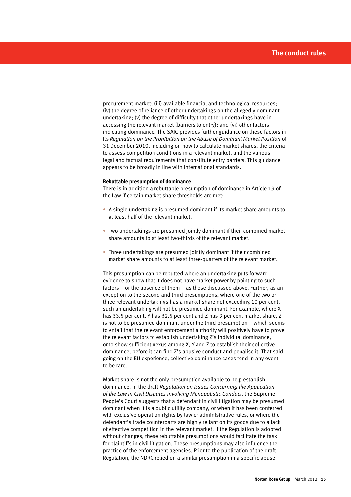procurement market; (iii) available financial and technological resources; (iv) the degree of reliance of other undertakings on the allegedly dominant undertaking; (v) the degree of difficulty that other undertakings have in accessing the relevant market (barriers to entry); and (vi) other factors indicating dominance. The SAIC provides further guidance on these factors in its *Regulation on the Prohibition on the Abuse of Dominant Market Position* of 31 December 2010, including on how to calculate market shares, the criteria to assess competition conditions in a relevant market, and the various legal and factual requirements that constitute entry barriers. This guidance appears to be broadly in line with international standards.

#### **Rebuttable presumption of dominance**

There is in addition a rebuttable presumption of dominance in Article 19 of the Law if certain market share thresholds are met:

- A single undertaking is presumed dominant if its market share amounts to at least half of the relevant market.
- Two undertakings are presumed jointly dominant if their combined market share amounts to at least two-thirds of the relevant market.
- Three undertakings are presumed jointly dominant if their combined market share amounts to at least three-quarters of the relevant market.

This presumption can be rebutted where an undertaking puts forward evidence to show that it does not have market power by pointing to such factors – or the absence of them – as those discussed above. Further, as an exception to the second and third presumptions, where one of the two or three relevant undertakings has a market share not exceeding 10 per cent, such an undertaking will not be presumed dominant. For example, where X has 33.5 per cent, Y has 32.5 per cent and Z has 9 per cent market share, Z is not to be presumed dominant under the third presumption – which seems to entail that the relevant enforcement authority will positively have to prove the relevant factors to establish undertaking Z's individual dominance, or to show sufficient nexus among X, Y and Z to establish their collective dominance, before it can find Z's abusive conduct and penalise it. That said, going on the EU experience, collective dominance cases tend in any event to be rare.

Market share is not the only presumption available to help establish dominance. In the draft *Regulation on Issues Concerning the Application of the Law in Civil Disputes involving Monopolistic Conduct*, the Supreme People's Court suggests that a defendant in civil litigation may be presumed dominant when it is a public utility company, or when it has been conferred with exclusive operation rights by law or administrative rules, or where the defendant's trade counterparts are highly reliant on its goods due to a lack of effective competition in the relevant market. If the Regulation is adopted without changes, these rebuttable presumptions would facilitate the task for plaintiffs in civil litigation. These presumptions may also influence the practice of the enforcement agencies. Prior to the publication of the draft Regulation, the NDRC relied on a similar presumption in a specific abuse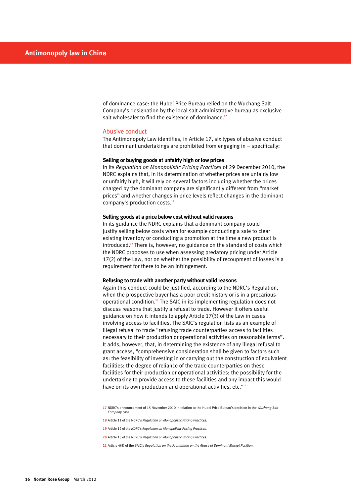of dominance case: the Hubei Price Bureau relied on the Wuchang Salt Company's designation by the local salt administrative bureau as exclusive salt wholesaler to find the existence of dominance.**<sup>17</sup>**

#### Abusive conduct

The Antimonopoly Law identifies, in Article 17, six types of abusive conduct that dominant undertakings are prohibited from engaging in – specifically:

#### **Selling or buying goods at unfairly high or low prices**

In its *Regulation on Monopolistic Pricing Practices* of 29 December 2010, the NDRC explains that, in its determination of whether prices are unfairly low or unfairly high, it will rely on several factors including whether the prices charged by the dominant company are significantly different from "market prices" and whether changes in price levels reflect changes in the dominant company's production costs.**<sup>18</sup>**

#### **Selling goods at a price below cost without valid reasons**

In its guidance the NDRC explains that a dominant company could justify selling below costs when for example conducting a sale to clear existing inventory or conducting a promotion at the time a new product is introduced.**19** There is, however, no guidance on the standard of costs which the NDRC proposes to use when assessing predatory pricing under Article 17(2) of the Law, nor on whether the possibility of recoupment of losses is a requirement for there to be an infringement.

#### **Refusing to trade with another party without valid reasons**

Again this conduct could be justified, according to the NDRC's Regulation, when the prospective buyer has a poor credit history or is in a precarious operational condition.**20** The SAIC in its implementing regulation does not discuss reasons that justify a refusal to trade. However it offers useful guidance on how it intends to apply Article 17(3) of the Law in cases involving access to facilities. The SAIC's regulation lists as an example of illegal refusal to trade "refusing trade counterparties access to facilities necessary to their production or operational activities on reasonable terms". It adds, however, that, in determining the existence of any illegal refusal to grant access, "comprehensive consideration shall be given to factors such as: the feasibility of investing in or carrying out the construction of equivalent facilities; the degree of reliance of the trade counterparties on these facilities for their production or operational activities; the possibility for the undertaking to provide access to these facilities and any impact this would have on its own production and operational activities, etc." **<sup>21</sup>**

- **20** Article 13 of the NDRC's *Regulation on Monopolistic Pricing Practices.*
- **21** Article 4(5) of the SAIC's *Regulation on the Prohibition on the Abuse of Dominant Market Position.*

**<sup>17</sup>** NDRC's announcement of 15 November 2010 in relation to the Hubei Price Bureau's decision in the *Wuchang Salt Company* case.

**<sup>18</sup>** Article 11 of the NDRC's *Regulation on Monopolistic Pricing Practices.*

**<sup>19</sup>** Article 12 of the *NDRC's Regulation on Monopolistic Pricing Practices.*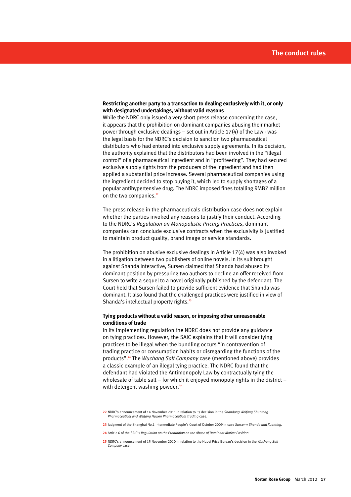#### **Restricting another party to a transaction to dealing exclusively with it, or only with designated undertakings, without valid reasons**

While the NDRC only issued a very short press release concerning the case, it appears that the prohibition on dominant companies abusing their market power through exclusive dealings – set out in Article 17(4) of the Law - was the legal basis for the NDRC's decision to sanction two pharmaceutical distributors who had entered into exclusive supply agreements. In its decision, the authority explained that the distributors had been involved in the "illegal control" of a pharmaceutical ingredient and in "profiteering". They had secured exclusive supply rights from the producers of the ingredient and had then applied a substantial price increase. Several pharmaceutical companies using the ingredient decided to stop buying it, which led to supply shortages of a popular antihypertensive drug. The NDRC imposed fines totalling RMB7 million on the two companies.**<sup>22</sup>**

The press release in the pharmaceuticals distribution case does not explain whether the parties invoked any reasons to justify their conduct. According to the NDRC's *Regulation on Monopolistic Pricing Practices*, dominant companies can conclude exclusive contracts when the exclusivity is justified to maintain product quality, brand image or service standards.

The prohibition on abusive exclusive dealings in Article 17(4) was also invoked in a litigation between two publishers of online novels. In its suit brought against Shanda Interactive, Sursen claimed that Shanda had abused its dominant position by pressuring two authors to decline an offer received from Sursen to write a sequel to a novel originally published by the defendant. The Court held that Sursen failed to provide sufficient evidence that Shanda was dominant. It also found that the challenged practices were justified in view of Shanda's intellectual property rights.**<sup>23</sup>**

#### **Tying products without a valid reason, or imposing other unreasonable conditions of trade**

In its implementing regulation the NDRC does not provide any guidance on tying practices. However, the SAIC explains that it will consider tying practices to be illegal when the bundling occurs "in contravention of trading practice or consumption habits or disregarding the functions of the products".**24** The *Wuchang Salt Company* case (mentioned above) provides a classic example of an illegal tying practice. The NDRC found that the defendant had violated the Antimonopoly Law by contractually tying the wholesale of table salt – for which it enjoyed monopoly rights in the district – with detergent washing powder.<sup>25</sup>

**<sup>22</sup>** NDRC's announcement of 14 November 2011 in relation to its decision in the *Shandong Weifang Shuntong Pharmaceutical and Weifang Huaxin Pharmaceutical Trading* case.

**<sup>23</sup>** Judgment of the Shanghai No.1 Intermediate People's Court of October 2009 in case *Sursen v Shanda and Xuanting.*

**<sup>24</sup>** Article 6 of the SAIC's *Regulation on the Prohibition on the Abuse of Dominant Market Position.*

**<sup>25</sup>** NDRC's announcement of 15 November 2010 in relation to the Hubei Price Bureau's decision in the *Wuchang Salt Company* case.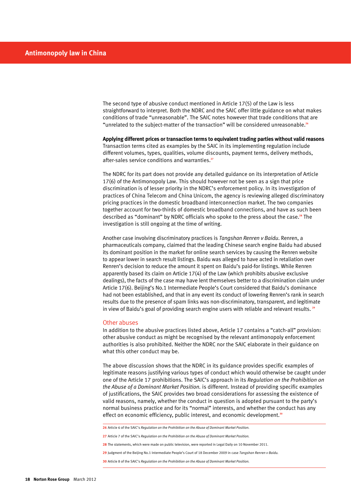The second type of abusive conduct mentioned in Article 17(5) of the Law is less straightforward to interpret. Both the NDRC and the SAIC offer little guidance on what makes conditions of trade "unreasonable". The SAIC notes however that trade conditions that are "unrelated to the subject-matter of the transaction" will be considered unreasonable.**<sup>26</sup>**

**Applying different prices or transaction terms to equivalent trading parties without valid reasons** Transaction terms cited as examples by the SAIC in its implementing regulation include different volumes, types, qualities, volume discounts, payment terms, delivery methods, after-sales service conditions and warranties.**<sup>27</sup>**

The NDRC for its part does not provide any detailed guidance on its interpretation of Article 17(6) of the Antimonopoly Law. This should however not be seen as a sign that price discrimination is of lesser priority in the NDRC's enforcement policy. In its investigation of practices of China Telecom and China Unicom, the agency is reviewing alleged discriminatory pricing practices in the domestic broadband interconnection market. The two companies together account for two-thirds of domestic broadband connections, and have as such been described as "dominant" by NDRC officials who spoke to the press about the case.**28** The investigation is still ongoing at the time of writing.

Another case involving discriminatory practices is *Tangshan Renren v Baidu*. Renren, a pharmaceuticals company, claimed that the leading Chinese search engine Baidu had abused its dominant position in the market for online search services by causing the Renren website to appear lower in search result listings. Baidu was alleged to have acted in retaliation over Renren's decision to reduce the amount it spent on Baidu's paid-for listings. While Renren apparently based its claim on Article 17(4) of the Law (which prohibits abusive exclusive dealings), the facts of the case may have lent themselves better to a discrimination claim under Article 17(6). Beijing's No.1 Intermediate People's Court considered that Baidu's dominance had not been established, and that in any event its conduct of lowering Renren's rank in search results due to the presence of spam links was non-discriminatory, transparent, and legitimate in view of Baidu's goal of providing search engine users with reliable and relevant results. **<sup>29</sup>**

#### Other abuses

In addition to the abusive practices listed above, Article 17 contains a "catch-all" provision: other abusive conduct as might be recognised by the relevant antimonopoly enforcement authorities is also prohibited. Neither the NDRC nor the SAIC elaborate in their guidance on what this other conduct may be.

The above discussion shows that the NDRC in its guidance provides specific examples of legitimate reasons justifying various types of conduct which would otherwise be caught under one of the Article 17 prohibitions. The SAIC's approach in its *Regulation on the Prohibition on the Abuse of a Dominant Market Position.* is different. Instead of providing specific examples of justifications, the SAIC provides two broad considerations for assessing the existence of valid reasons, namely, whether the conduct in question is adopted pursuant to the party's normal business practice and for its "normal" interests, and whether the conduct has any effect on economic efficiency, public interest, and economic development.**<sup>30</sup>**

**<sup>26</sup>** Article 6 of the SAIC's *Regulation on the Prohibition on the Abuse of Dominant Market Position.*

**<sup>27</sup>** Article 7 of the SAIC's *Regulation on the Prohibition on the Abuse of Dominant Market Position.*

**<sup>28</sup>** The statements, which were made on public television, were reported in Legal Daily on 10 November 2011.

**<sup>29</sup>** Judgment of the Beijing No.1 Intermediate People's Court of 18 December 2009 in case *Tangshan Renren v Baidu.*

**<sup>30</sup>** Article 8 of the SAIC's *Regulation on the Prohibition on the Abuse of Dominant Market Position.*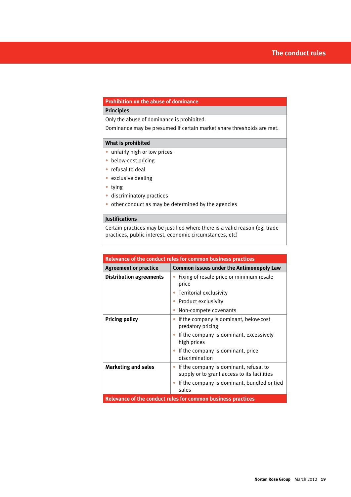# **Prohibition on the abuse of dominance**

# **Principles**

Only the abuse of dominance is prohibited.

Dominance may be presumed if certain market share thresholds are met.

# **What is prohibited**

- unfairly high or low prices
- below-cost pricing
- refusal to deal
- exclusive dealing
- • tying
- • discriminatory practices
- other conduct as may be determined by the agencies

# **Justifications**

Certain practices may be justified where there is a valid reason (eg, trade practices, public interest, economic circumstances, etc)

| <b>Relevance of the conduct rules for common business practices</b> |                                                                                       |  |
|---------------------------------------------------------------------|---------------------------------------------------------------------------------------|--|
| <b>Agreement or practice</b>                                        | <b>Common issues under the Antimonopoly Law</b>                                       |  |
| <b>Distribution agreements</b>                                      | Fixing of resale price or minimum resale<br>price                                     |  |
|                                                                     | Territorial exclusivity                                                               |  |
|                                                                     | Product exclusivity                                                                   |  |
|                                                                     | Non-compete covenants                                                                 |  |
| <b>Pricing policy</b>                                               | If the company is dominant, below-cost<br>predatory pricing                           |  |
|                                                                     | If the company is dominant, excessively<br>high prices                                |  |
|                                                                     | If the company is dominant, price<br>discrimination                                   |  |
| <b>Marketing and sales</b>                                          | If the company is dominant, refusal to<br>supply or to grant access to its facilities |  |
|                                                                     | If the company is dominant, bundled or tied<br>sales                                  |  |
| Relevance of the conduct rules for common business practices        |                                                                                       |  |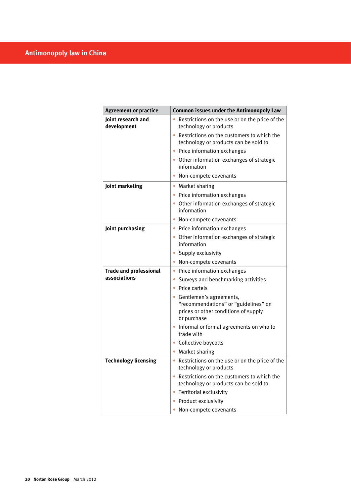| <b>Agreement or practice</b>      | <b>Common issues under the Antimonopoly Law</b>                                                                          |  |
|-----------------------------------|--------------------------------------------------------------------------------------------------------------------------|--|
| Joint research and<br>development | Restrictions on the use or on the price of the<br>technology or products                                                 |  |
|                                   | • Restrictions on the customers to which the<br>technology or products can be sold to                                    |  |
|                                   | Price information exchanges                                                                                              |  |
|                                   | • Other information exchanges of strategic<br>information                                                                |  |
|                                   | Non-compete covenants                                                                                                    |  |
| Joint marketing                   | • Market sharing                                                                                                         |  |
|                                   | • Price information exchanges                                                                                            |  |
|                                   | • Other information exchanges of strategic<br>information                                                                |  |
|                                   | • Non-compete covenants                                                                                                  |  |
| Joint purchasing                  | • Price information exchanges                                                                                            |  |
|                                   | • Other information exchanges of strategic<br>information                                                                |  |
|                                   | • Supply exclusivity                                                                                                     |  |
|                                   | • Non-compete covenants                                                                                                  |  |
| <b>Trade and professional</b>     | • Price information exchanges                                                                                            |  |
| associations                      | • Surveys and benchmarking activities                                                                                    |  |
|                                   | Price cartels                                                                                                            |  |
|                                   | • Gentlemen's agreements,<br>"recommendations" or "guidelines" on<br>prices or other conditions of supply<br>or purchase |  |
|                                   | • Informal or formal agreements on who to<br>trade with                                                                  |  |
|                                   | • Collective boycotts                                                                                                    |  |
|                                   | • Market sharing                                                                                                         |  |
| <b>Technology licensing</b>       | • Restrictions on the use or on the price of the<br>technology or products                                               |  |
|                                   | • Restrictions on the customers to which the<br>technology or products can be sold to                                    |  |
|                                   | • Territorial exclusivity                                                                                                |  |
|                                   | • Product exclusivity                                                                                                    |  |
|                                   | Non-compete covenants                                                                                                    |  |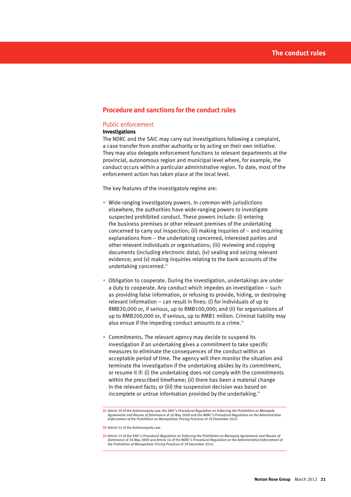# **Procedure and sanctions for the conduct rules**

#### Public enforcement

## **Investigations**

The NDRC and the SAIC may carry out investigations following a complaint, a case transfer from another authority or by acting on their own initiative. They may also delegate enforcement functions to relevant departments at the provincial, autonomous region and municipal level where, for example, the conduct occurs within a particular administrative region. To date, most of the enforcement action has taken place at the local level.

The key features of the investigatory regime are:

- Wide-ranging investigatory powers. In common with jurisdictions elsewhere, the authorities have wide-ranging powers to investigate suspected prohibited conduct. These powers include: (i) entering the business premises or other relevant premises of the undertaking concerned to carry out inspection; (ii) making inquiries of – and requiring explanations from – the undertaking concerned, interested parties and other relevant individuals or organisations; (iii) reviewing and copying documents (including electronic data); (iv) sealing and seizing relevant evidence; and (v) making inquiries relating to the bank accounts of the undertaking concerned.**<sup>31</sup>**
- Obligation to cooperate. During the investigation, undertakings are under a duty to cooperate. Any conduct which impedes an investigation – such as providing false information, or refusing to provide, hiding, or destroying relevant information – can result in fines: (i) for individuals of up to RMB20,000 or, if serious, up to RMB100,000; and (ii) for organisations of up to RMB200,000 or, if serious, up to RMB1 million. Criminal liability may also ensue if the impeding conduct amounts to a crime.**<sup>32</sup>**
- Commitments. The relevant agency may decide to suspend its investigation if an undertaking gives a commitment to take specific measures to eliminate the consequences of the conduct within an acceptable period of time. The agency will then monitor the situation and terminate the investigation if the undertaking abides by its commitment, or resume it if: (i) the undertaking does not comply with the commitments within the prescribed timeframe; (ii) there has been a material change in the relevant facts; or (iii) the suspension decision was based on incomplete or untrue information provided by the undertaking.**<sup>33</sup>**

**<sup>31</sup>** Article 39 of the Antimonopoly Law, the SAIC's *Procedural Regulation on Enforcing the Prohibition on Monopoly Agreements and Abuses of Dominance* of 26 May 2009 and the NDRC's *Procedural Regulation on the Administrative Enforcement of the Prohibition on Monopolistic Pricing Practices* of 29 December 2010.

**<sup>32</sup>** Article 52 of the Antimonopoly Law.

**<sup>33</sup>** Article 15 of the SAIC's *Procedural Regulation on Enforcing the Prohibition on Monopoly Agreements and Abuses of Dominance* of 26 May 2009 and Article 16 of the NDRC's *Procedural Regulation on the Administrative Enforcement of the Prohibition of Monopolistic Pricing Practices* of 29 December 2010.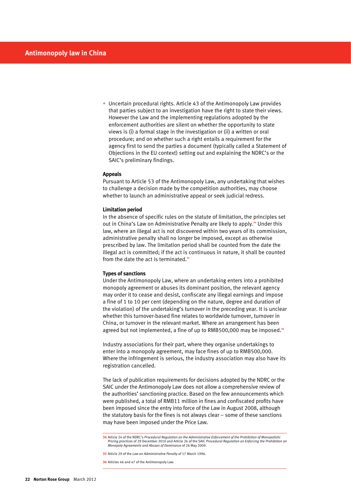• Uncertain procedural rights. Article 43 of the Antimonopoly Law provides that parties subject to an investigation have the right to state their views. However the Law and the implementing regulations adopted by the enforcement authorities are silent on whether the opportunity to state views is (i) a formal stage in the investigation or (ii) a written or oral procedure; and on whether such a right entails a requirement for the agency first to send the parties a document (typically called a Statement of Objections in the EU context) setting out and explaining the NDRC's or the SAIC's preliminary findings.

#### **Appeals**

Pursuant to Article 53 of the Antimonopoly Law, any undertaking that wishes to challenge a decision made by the competition authorities, may choose whether to launch an administrative appeal or seek judicial redress.

#### **Limitation period**

In the absence of specific rules on the statute of limitation, the principles set out in China's Law on Administrative Penalty are likely to apply.**34** Under this law, where an illegal act is not discovered within two years of its commission, administrative penalty shall no longer be imposed, except as otherwise prescribed by law. The limitation period shall be counted from the date the illegal act is committed; if the act is continuous in nature, it shall be counted from the date the act is terminated.**<sup>35</sup>**

#### **Types of sanctions**

Under the Antimonopoly Law, where an undertaking enters into a prohibited monopoly agreement or abuses its dominant position, the relevant agency may order it to cease and desist, confiscate any illegal earnings and impose a fine of 1 to 10 per cent (depending on the nature, degree and duration of the violation) of the undertaking's turnover in the preceding year. It is unclear whether this turnover-based fine relates to worldwide turnover, turnover in China, or turnover in the relevant market. Where an arrangement has been agreed but not implemented, a fine of up to RMB500,000 may be imposed.**<sup>36</sup>**

Industry associations for their part, where they organise undertakings to enter into a monopoly agreement, may face fines of up to RMB500,000. Where the infringement is serious, the industry association may also have its registration cancelled.

The lack of publication requirements for decisions adopted by the NDRC or the SAIC under the Antimonopoly Law does not allow a comprehensive review of the authorities' sanctioning practice. Based on the few announcements which were published, a total of RMB11 million in fines and confiscated profits have been imposed since the entry into force of the Law in August 2008, although the statutory basis for the fines is not always clear – some of these sanctions may have been imposed under the Price Law.

**36** Articles 46 and 47 of the Antimonopoly Law.

**<sup>34</sup>** Article 24 of the NDRC's *Procedural Regulation on the Administrative Enforcement of the Prohibition of Monopolistic Pricing practices* of 29 December 2010 and Article 26 of the SAIC *Procedural Regulation on Enforcing the Prohibition on Monopoly Agreements and Abuses of Dominance* of 26 May 2009.

**<sup>35</sup>** Article 29 of the *Law on Administrative Penalty* of 17 March 1996.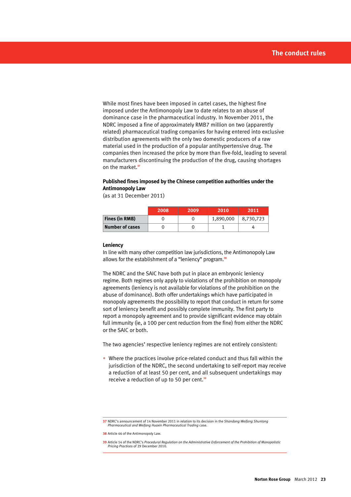While most fines have been imposed in cartel cases, the highest fine imposed under the Antimonopoly Law to date relates to an abuse of dominance case in the pharmaceutical industry. In November 2011, the NDRC imposed a fine of approximately RMB7 million on two (apparently related) pharmaceutical trading companies for having entered into exclusive distribution agreements with the only two domestic producers of a raw material used in the production of a popular antihypertensive drug. The companies then increased the price by more than five-fold, leading to several manufacturers discontinuing the production of the drug, causing shortages on the market.**<sup>37</sup>**

#### **Published fines imposed by the Chinese competition authorities under the Antimonopoly Law**

(as at 31 December 2011)

|                 | 2008 | 2009 | 2010      | 2011      |
|-----------------|------|------|-----------|-----------|
| Fines (in RMB)  |      |      | 1,890,000 | 8,730,723 |
| Number of cases |      |      |           |           |

#### **Leniency**

In line with many other competition law jurisdictions, the Antimonopoly Law allows for the establishment of a "leniency" program.**<sup>38</sup>**

The NDRC and the SAIC have both put in place an embryonic leniency regime. Both regimes only apply to violations of the prohibition on monopoly agreements (leniency is not available for violations of the prohibition on the abuse of dominance). Both offer undertakings which have participated in monopoly agreements the possibility to report that conduct in return for some sort of leniency benefit and possibly complete immunity. The first party to report a monopoly agreement and to provide significant evidence may obtain full immunity (ie, a 100 per cent reduction from the fine) from either the NDRC or the SAIC or both.

The two agencies' respective leniency regimes are not entirely consistent:

• Where the practices involve price-related conduct and thus fall within the jurisdiction of the NDRC, the second undertaking to self-report may receive a reduction of at least 50 per cent, and all subsequent undertakings may receive a reduction of up to 50 per cent.**<sup>39</sup>**

**<sup>37</sup>** NDRC's announcement of 14 November 2011 in relation to its decision in the *Shandong Weifang Shuntong Pharmaceutical and Weifang Huaxin Pharmaceutical Trading* case.

**<sup>38</sup>** Article 46 of the Antimonopoly Law.

**<sup>39</sup>** Article 14 of the NDRC's *Procedural Regulation on the Administrative Enforcement of the Prohibition of Monopolistic Pricing Practices* of 29 December 2010.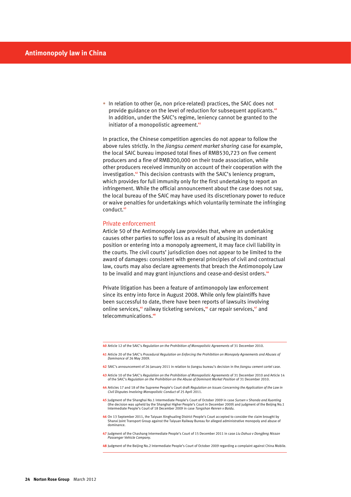• In relation to other (ie, non price-related) practices, the SAIC does not provide guidance on the level of reduction for subsequent applicants.**<sup>40</sup>** In addition, under the SAIC's regime, leniency cannot be granted to the initiator of a monopolistic agreement.**<sup>41</sup>**

In practice, the Chinese competition agencies do not appear to follow the above rules strictly. In the *Jiangsu cement market sharing* case for example, the local SAIC bureau imposed total fines of RMB530,723 on five cement producers and a fine of RMB200,000 on their trade association, while other producers received immunity on account of their cooperation with the investigation.**42** This decision contrasts with the SAIC's leniency program, which provides for full immunity only for the first undertaking to report an infringement. While the official announcement about the case does not say, the local bureau of the SAIC may have used its discretionary power to reduce or waive penalties for undertakings which voluntarily terminate the infringing conduct.**<sup>43</sup>**

#### Private enforcement

Article 50 of the Antimonopoly Law provides that, where an undertaking causes other parties to suffer loss as a result of abusing its dominant position or entering into a monopoly agreement, it may face civil liability in the courts. The civil courts' jurisdiction does not appear to be limited to the award of damages: consistent with general principles of civil and contractual law, courts may also declare agreements that breach the Antimonopoly Law to be invalid and may grant injunctions and cease-and-desist orders.**<sup>44</sup>**

Private litigation has been a feature of antimonopoly law enforcement since its entry into force in August 2008. While only few plaintiffs have been successful to date, there have been reports of lawsuits involving online services,**45** railway ticketing services,**46** car repair services,**47** and telecommunications.**<sup>48</sup>**

- **41** Article 20 of the SAIC's *Procedural Regulation on Enforcing the Prohibition on Monopoly Agreements and Abuses of Dominance* of 26 May 2009.
- **42** SAIC's announcement of 26 January 2011 in relation to Jiangsu bureau's decision in the *Jiangsu cement cartel* case.
- 43 Article 10 of the SAIC's Regulation on the Prohibition of Monopolistic Agreements of 31 December 2010 and Article 14<br>61 of the SAIC's Regulation on the Prohibition on the Abuse of Dominant Market Position of 31 December
- **44** Articles 17 and 18 of the Supreme People's Court draft *Regulation on Issues Concerning the Application of the Law in Civil Disputes Involving Monopolistic Conduct* of 25 April 2011.
- **45** Judgment of the Shanghai No.1 Intermediate People's Court of October 2009 in case *Sursen v Shanda and Xuanting*  (the decision was upheld by the Shanghai Higher People's Court in December 2009) and judgment of the Beijing No.1 Intermediate People's Court of 18 December 2009 in case *Tangshan Renren v Baidu.*
- **46** On 13 September 2011, the Taiyuan Xinghualing District People's Court accepted to consider the claim brought by Shanxi Joint Transport Group against the Taiyuan Railway Bureau for alleged administrative monopoly and abuse of dominance.
- **47** Judgment of the Chashang Intermediate People's Court of 15 December 2011 in case *Liu Dahua v Dongfeng Nissan Passenger Vehicle Company.*

**48** Judgment of the Beijing No.2 Intermediate People's Court of October 2009 regarding a complaint against China Mobile.

**<sup>40</sup>** Article 12 of the SAIC's *Regulation on the Prohibition of Monopolistic Agreements* of 31 December 2010.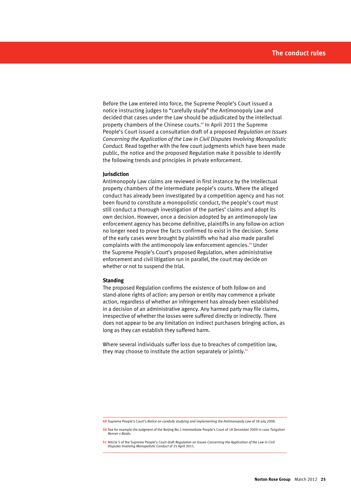Before the Law entered into force, the Supreme People's Court issued a notice instructing judges to "carefully study" the Antimonopoly Law and decided that cases under the Law should be adjudicated by the intellectual property chambers of the Chinese courts.**49** In April 2011 the Supreme People's Court issued a consultation draft of a proposed *Regulation on Issues Concerning the Application of the Law in Civil Disputes Involving Monopolistic Conduct.* Read together with the few court judgments which have been made public, the notice and the proposed Regulation make it possible to identify the following trends and principles in private enforcement.

#### **Jurisdiction**

Antimonopoly Law claims are reviewed in first instance by the intellectual property chambers of the intermediate people's courts. Where the alleged conduct has already been investigated by a competition agency and has not been found to constitute a monopolistic conduct, the people's court must still conduct a thorough investigation of the parties' claims and adopt its own decision. However, once a decision adopted by an antimonopoly law enforcement agency has become definitive, plaintiffs in any follow-on action no longer need to prove the facts confirmed to exist in the decision. Some of the early cases were brought by plaintiffs who had also made parallel complaints with the antimonopoly law enforcement agencies.**50** Under the Supreme People's Court's proposed Regulation, when administrative enforcement and civil litigation run in parallel, the court may decide on whether or not to suspend the trial.

#### **Standing**

The proposed Regulation confirms the existence of both follow-on and stand-alone rights of action: any person or entity may commence a private action, regardless of whether an infringement has already been established in a decision of an administrative agency. Any harmed party may file claims, irrespective of whether the losses were suffered directly or indirectly. There does not appear to be any limitation on indirect purchasers bringing action, as long as they can establish they suffered harm.

Where several individuals suffer loss due to breaches of competition law, they may choose to institute the action separately or jointly.**<sup>51</sup>**

**<sup>49</sup>** Supreme People's Court's *Notice on carefully studying and implementing the Antimonopoly Law* of 28 July 2008.

**<sup>50</sup>** See for example the Judgment of the Beijing No.1 Intermediate People's Court of 18 December 2009 in case *Tangshan Renren v Baidu.*

**<sup>51</sup>** Article 5 of the Supreme People's Court draft *Regulation on Issues Concerning the Application of the Law in Civil Disputes Involving Monopolistic Conduct* of 25 April 2011.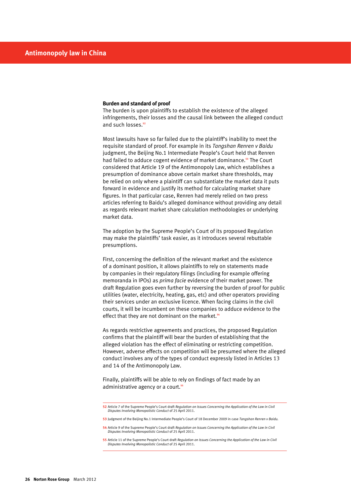#### **Burden and standard of proof**

The burden is upon plaintiffs to establish the existence of the alleged infringements, their losses and the causal link between the alleged conduct and such losses.**<sup>52</sup>**

Most lawsuits have so far failed due to the plaintiff's inability to meet the requisite standard of proof. For example in its *Tangshan Renren v Baidu*  judgment, the Beijing No.1 Intermediate People's Court held that Renren had failed to adduce cogent evidence of market dominance.**53** The Court considered that Article 19 of the Antimonopoly Law, which establishes a presumption of dominance above certain market share thresholds, may be relied on only where a plaintiff can substantiate the market data it puts forward in evidence and justify its method for calculating market share figures. In that particular case, Renren had merely relied on two press articles referring to Baidu's alleged dominance without providing any detail as regards relevant market share calculation methodologies or underlying market data.

The adoption by the Supreme People's Court of its proposed Regulation may make the plaintiffs' task easier, as it introduces several rebuttable presumptions.

First, concerning the definition of the relevant market and the existence of a dominant position, it allows plaintiffs to rely on statements made by companies in their regulatory filings (including for example offering memoranda in IPOs) as *prima facie* evidence of their market power. The draft Regulation goes even further by reversing the burden of proof for public utilities (water, electricity, heating, gas, etc) and other operators providing their services under an exclusive licence. When facing claims in the civil courts, it will be incumbent on these companies to adduce evidence to the effect that they are not dominant on the market.**<sup>54</sup>**

As regards restrictive agreements and practices, the proposed Regulation confirms that the plaintiff will bear the burden of establishing that the alleged violation has the effect of eliminating or restricting competition. However, adverse effects on competition will be presumed where the alleged conduct involves any of the types of conduct expressly listed in Articles 13 and 14 of the Antimonopoly Law.

Finally, plaintiffs will be able to rely on findings of fact made by an administrative agency or a court.**<sup>55</sup>**

**<sup>52</sup>** Article 7 of the Supreme People's Court draft *Regulation on Issues Concerning the Application of the Law in Civil Disputes Involving Monopolistic Conduct* of 25 April 2011.

**<sup>53</sup>** Judgment of the Beijing No.1 Intermediate People's Court of 18 December 2009 in case *Tangshan Renren v Baidu.*

**<sup>54</sup>** Article 9 of the Supreme People's Court draft *Regulation on Issues Concerning the Application of the Law in Civil Disputes Involving Monopolistic Conduct* of 25 April 2011.

**<sup>55</sup>** Article 11 of the Supreme People's Court draft *Regulation on Issues Concerning the Application of the Law in Civil Disputes Involving Monopolistic Conduct* of 25 April 2011.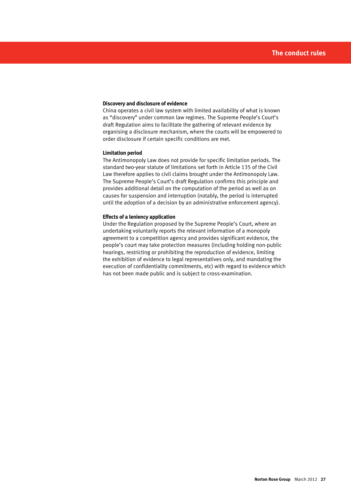#### **Discovery and disclosure of evidence**

China operates a civil law system with limited availability of what is known as "discovery" under common law regimes. The Supreme People's Court's draft Regulation aims to facilitate the gathering of relevant evidence by organising a disclosure mechanism, where the courts will be empowered to order disclosure if certain specific conditions are met.

#### **Limitation period**

The Antimonopoly Law does not provide for specific limitation periods. The standard two-year statute of limitations set forth in Article 135 of the Civil Law therefore applies to civil claims brought under the Antimonopoly Law. The Supreme People's Court's draft Regulation confirms this principle and provides additional detail on the computation of the period as well as on causes for suspension and interruption (notably, the period is interrupted until the adoption of a decision by an administrative enforcement agency).

#### **Effects of a leniency application**

Under the Regulation proposed by the Supreme People's Court, where an undertaking voluntarily reports the relevant information of a monopoly agreement to a competition agency and provides significant evidence, the people's court may take protection measures (including holding non-public hearings, restricting or prohibiting the reproduction of evidence, limiting the exhibition of evidence to legal representatives only, and mandating the execution of confidentiality commitments, etc) with regard to evidence which has not been made public and is subject to cross-examination.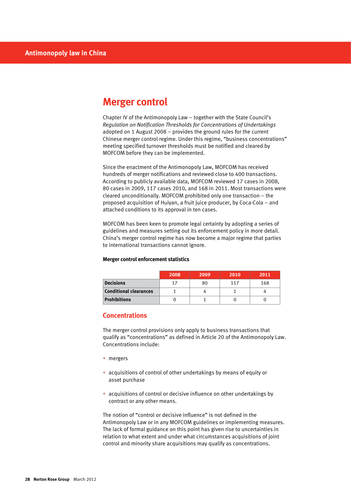# **Merger control**

Chapter IV of the Antimonopoly Law – together with the State Council's *Regulation on Notification Thresholds for Concentrations of Undertakings* adopted on 1 August 2008 – provides the ground rules for the current Chinese merger control regime. Under this regime, "business concentrations" meeting specified turnover thresholds must be notified and cleared by MOFCOM before they can be implemented.

Since the enactment of the Antimonopoly Law, MOFCOM has received hundreds of merger notifications and reviewed close to 400 transactions. According to publicly available data, MOFCOM reviewed 17 cases in 2008, 80 cases in 2009, 117 cases 2010, and 168 in 2011. Most transactions were cleared unconditionally. MOFCOM prohibited only one transaction – the proposed acquisition of Huiyan, a fruit juice producer, by Coca-Cola – and attached conditions to its approval in ten cases.

MOFCOM has been keen to promote legal certainty by adopting a series of guidelines and measures setting out its enforcement policy in more detail. China's merger control regime has now become a major regime that parties to international transactions cannot ignore.

#### **Merger control enforcement statistics**

|                               | 2008 | 2009 | 2010 | 2011 |
|-------------------------------|------|------|------|------|
| <b>Decisions</b>              | 17   | 80   | 117  | 168  |
| <b>Conditional clearances</b> |      |      |      |      |
| <b>Prohibitions</b>           |      |      |      |      |

# **Concentrations**

The merger control provisions only apply to business transactions that qualify as "concentrations" as defined in Article 20 of the Antimonopoly Law. Concentrations include:

- mergers
- acquisitions of control of other undertakings by means of equity or asset purchase
- acquisitions of control or decisive influence on other undertakings by contract or any other means.

The notion of "control or decisive influence" is not defined in the Antimonopoly Law or in any MOFCOM guidelines or implementing measures. The lack of formal guidance on this point has given rise to uncertainties in relation to what extent and under what circumstances acquisitions of joint control and minority share acquisitions may qualify as concentrations.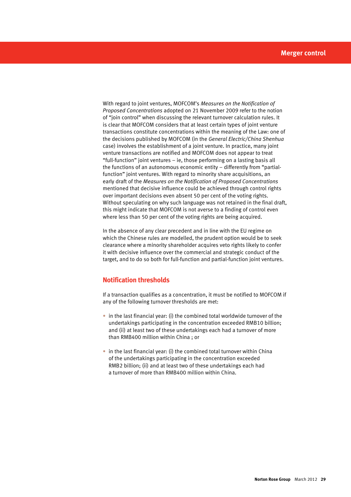With regard to joint ventures, MOFCOM's *Measures on the Notification of Proposed Concentrations* adopted on 21 November 2009 refer to the notion of "join control" when discussing the relevant turnover calculation rules. It is clear that MOFCOM considers that at least certain types of joint venture transactions constitute concentrations within the meaning of the Law: one of the decisions published by MOFCOM (in the *General Electric/China Shenhua* case) involves the establishment of a joint venture. In practice, many joint venture transactions are notified and MOFCOM does not appear to treat "full-function" joint ventures – ie, those performing on a lasting basis all the functions of an autonomous economic entity – differently from "partialfunction" joint ventures. With regard to minority share acquisitions, an early draft of the *Measures on the Notification of Proposed Concentrations* mentioned that decisive influence could be achieved through control rights over important decisions even absent 50 per cent of the voting rights. Without speculating on why such language was not retained in the final draft, this might indicate that MOFCOM is not averse to a finding of control even where less than 50 per cent of the voting rights are being acquired.

In the absence of any clear precedent and in line with the EU regime on which the Chinese rules are modelled, the prudent option would be to seek clearance where a minority shareholder acquires veto rights likely to confer it with decisive influence over the commercial and strategic conduct of the target, and to do so both for full-function and partial-function joint ventures.

# **Notification thresholds**

If a transaction qualifies as a concentration, it must be notified to MOFCOM if any of the following turnover thresholds are met:

- $\bullet$  in the last financial year: (i) the combined total worldwide turnover of the undertakings participating in the concentration exceeded RMB10 billion; and (ii) at least two of these undertakings each had a turnover of more than RMB400 million within China ; or
- $\bullet$  in the last financial year: (i) the combined total turnover within China of the undertakings participating in the concentration exceeded RMB2 billion; (ii) and at least two of these undertakings each had a turnover of more than RMB400 million within China.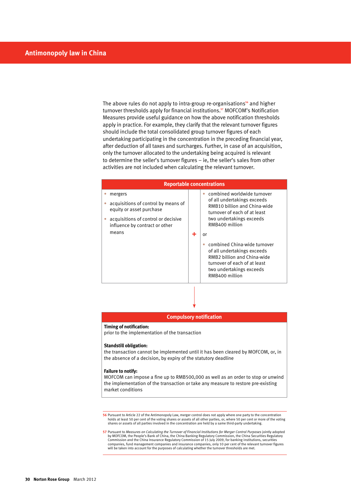The above rules do not apply to intra-group re-organisations**56** and higher turnover thresholds apply for financial institutions.**57** MOFCOM's Notification Measures provide useful guidance on how the above notification thresholds apply in practice. For example, they clarify that the relevant turnover figures should include the total consolidated group turnover figures of each undertaking participating in the concentration in the preceding financial year, after deduction of all taxes and surcharges. Further, in case of an acquisition, only the turnover allocated to the undertaking being acquired is relevant to determine the seller's turnover figures – ie, the seller's sales from other activities are not included when calculating the relevant turnover.

| <b>Reportable concentrations</b> |                                                                            |   |                                                                                                                                                                                |
|----------------------------------|----------------------------------------------------------------------------|---|--------------------------------------------------------------------------------------------------------------------------------------------------------------------------------|
|                                  | mergers<br>acquisitions of control by means of<br>equity or asset purchase |   | combined worldwide turnover<br>of all undertakings exceeds<br>RMB10 billion and China-wide<br>turnover of each of at least                                                     |
|                                  | acquisitions of control or decisive<br>influence by contract or other      |   | two undertakings exceeds<br>RMB400 million                                                                                                                                     |
|                                  | means                                                                      | 4 | or<br>combined China-wide turnover<br>of all undertakings exceeds<br>RMB2 billion and China-wide<br>turnover of each of at least<br>two undertakings exceeds<br>RMB400 million |
|                                  |                                                                            |   |                                                                                                                                                                                |

#### **Compulsory notification**

#### **Timing of notification:**

prior to the implementation of the transaction

#### **Standstill obligation:**

the transaction cannot be implemented until it has been cleared by MOFCOM, or, in the absence of a decision, by expiry of the statutory deadline

#### **Failure to notify:**

MOFCOM can impose a fine up to RMB500,000 as well as an order to stop or unwind the implementation of the transaction or take any measure to restore pre-existing market conditions

56 Pursuant to Article 22 of the Antimonopoly Law, merger control does not apply where one party to the concentration<br>holds at least 50 per cent of the voting shares or assets of all other parties, or, where 50 per cent or shares or assets of all parties involved in the concentration are held by a same third-party undertaking.

57 Pursuant to Measures on Calculating the Turnover of Financial Institutions for Merger Control Purposes jointly adopted<br>by MOFCOM, the People's Bank of China, the China Banking Regulatory Commission, the China Securities Commission and the China Insurance Regulatory Commission of 15 July 2009, for banking institutions, securities companies, fund management companies and insurance companies, only 10 per cent of the relevant turnover figures will be taken into account for the purposes of calculating whether the turnover thresholds are met.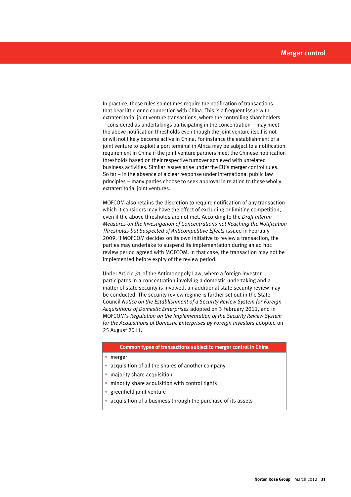In practice, these rules sometimes require the notification of transactions that bear little or no connection with China. This is a frequent issue with extraterritorial joint venture transactions, where the controlling shareholders – considered as undertakings participating in the concentration – may meet the above notification thresholds even though the joint venture itself is not or will not likely become active in China. For instance the establishment of a joint venture to exploit a port terminal in Africa may be subject to a notification requirement in China if the joint venture partners meet the Chinese notification thresholds based on their respective turnover achieved with unrelated business activities. Similar issues arise under the EU's merger control rules. So far – in the absence of a clear response under international public law principles – many parties choose to seek approval in relation to these wholly extraterritorial joint ventures.

MOFCOM also retains the discretion to require notification of any transaction which it considers may have the effect of excluding or limiting competition, even if the above thresholds are not met. According to the *Draft Interim Measures on the Investigation of Concentrations not Reaching the Notification Thresholds but Suspected of Anticompetitive Effects* issued in February 2009, if MOFCOM decides on its own initiative to review a transaction, the parties may undertake to suspend its implementation during an ad hoc review period agreed with MOFCOM. In that case, the transaction may not be implemented before expiry of the review period.

Under Article 31 of the Antimonopoly Law, where a foreign investor participates in a concentration involving a domestic undertaking and a matter of state security is involved, an additional state security review may be conducted. The security review regime is further set out in the State Council *Notice on the Establishment of a Security Review System for Foreign Acquisitions of Domestic Enterprises* adopted on 3 February 2011, and in MOFCOM's *Regulation on the Implementation of the Security Review System for the Acquisitions of Domestic Enterprises by Foreign Investors* adopted on 25 August 2011.

#### **Common types of transactions subject to merger control in China**

- • merger
- acquisition of all the shares of another company
- majority share acquisition
- minority share acquisition with control rights
- greenfield joint venture
- acquisition of a business through the purchase of its assets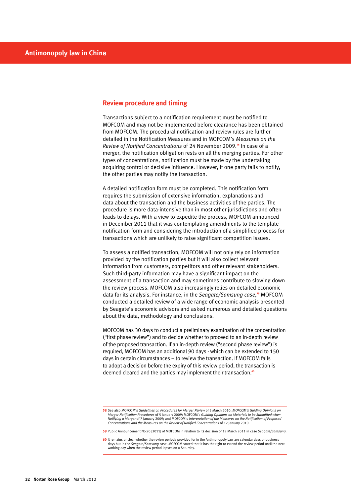## **Review procedure and timing**

Transactions subject to a notification requirement must be notified to MOFCOM and may not be implemented before clearance has been obtained from MOFCOM. The procedural notification and review rules are further detailed in the Notification Measures and in MOFCOM's *Measures on the Review of Notified Concentrations* of 24 November 2009.**58** In case of a merger, the notification obligation rests on all the merging parties. For other types of concentrations, notification must be made by the undertaking acquiring control or decisive influence. However, if one party fails to notify, the other parties may notify the transaction.

A detailed notification form must be completed. This notification form requires the submission of extensive information, explanations and data about the transaction and the business activities of the parties. The procedure is more data-intensive than in most other jurisdictions and often leads to delays. With a view to expedite the process, MOFCOM announced in December 2011 that it was contemplating amendments to the template notification form and considering the introduction of a simplified process for transactions which are unlikely to raise significant competition issues.

To assess a notified transaction, MOFCOM will not only rely on information provided by the notification parties but it will also collect relevant information from customers, competitors and other relevant stakeholders. Such third-party information may have a significant impact on the assessment of a transaction and may sometimes contribute to slowing down the review process. MOFCOM also increasingly relies on detailed economic data for its analysis. For instance, in the *Seagate/Samsung case*, **<sup>59</sup>** MOFCOM conducted a detailed review of a wide range of economic analysis presented by Seagate's economic advisors and asked numerous and detailed questions about the data, methodology and conclusions.

MOFCOM has 30 days to conduct a preliminary examination of the concentration ("first phase review") and to decide whether to proceed to an in-depth review of the proposed transaction. If an in-depth review ("second phase review") is required, MOFCOM has an additional 90 days - which can be extended to 150 days in certain circumstances – to review the transaction. If MOFCOM fails to adopt a decision before the expiry of this review period, the transaction is deemed cleared and the parties may implement their transaction.**<sup>60</sup>**

**59** Public Announcement No 90 [2011] of MOFCOM in relation to its decision of 12 March 2011 in case *Seagate/Samsung.*

**<sup>58</sup>** See also MOFCOM's *Guidelines on Procedures for Merger Review* of 3 March 2010; *MOFCOM's Guiding Opinions on Merger Notification Procedures* of 5 January 2009; MOFCOM's *Guiding Opinions on Materials to be Submitted when*  Notifying a Merger of 7 January 2009; and MOFCOM's Interpretation of the Measures on the Notification of Proposed<br>Concentrations and the Measures on the Review of Notified Concentrations of 12 January 2010.

**<sup>60</sup>** It remains unclear whether the review periods provided for in the Antimonopoly Law are calendar days or business days but in the *Seagate/Samsung* case, MOFCOM stated that it has the right to extend the review period until the next working day when the review period lapses on a Saturday.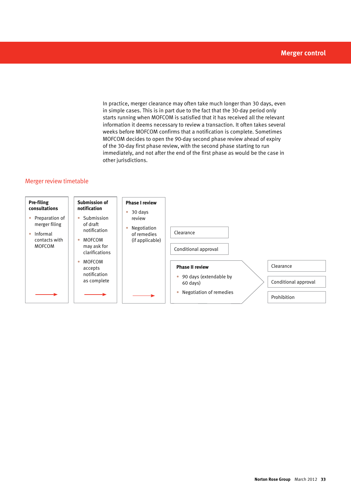In practice, merger clearance may often take much longer than 30 days, even in simple cases. This is in part due to the fact that the 30-day period only starts running when MOFCOM is satisfied that it has received all the relevant information it deems necessary to review a transaction. It often takes several weeks before MOFCOM confirms that a notification is complete. Sometimes MOFCOM decides to open the 90-day second phase review ahead of expiry of the 30-day first phase review, with the second phase starting to run immediately, and not after the end of the first phase as would be the case in other jurisdictions.

# Merger review timetable

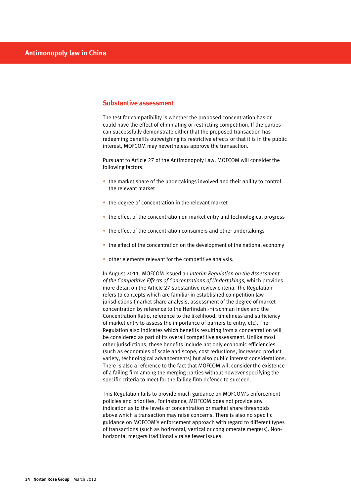## **Substantive assessment**

The test for compatibility is whether the proposed concentration has or could have the effect of eliminating or restricting competition. If the parties can successfully demonstrate either that the proposed transaction has redeeming benefits outweighing its restrictive effects or that it is in the public interest, MOFCOM may nevertheless approve the transaction.

Pursuant to Article 27 of the Antimonopoly Law, MOFCOM will consider the following factors:

- the market share of the undertakings involved and their ability to control the relevant market
- the degree of concentration in the relevant market
- the effect of the concentration on market entry and technological progress
- the effect of the concentration consumers and other undertakings
- $\bullet$  the effect of the concentration on the development of the national economy
- other elements relevant for the competitive analysis.

In August 2011, MOFCOM issued an *Interim Regulation on the Assessment of the Competitive Effects of Concentrations of Undertakings,* which provides more detail on the Article 27 substantive review criteria. The Regulation refers to concepts which are familiar in established competition law jurisdictions (market share analysis, assessment of the degree of market concentration by reference to the Herfindahl-Hirschman Index and the Concentration Ratio, reference to the likelihood, timeliness and sufficiency of market entry to assess the importance of barriers to entry, etc). The Regulation also indicates which benefits resulting from a concentration will be considered as part of its overall competitive assessment. Unlike most other jurisdictions, these benefits include not only economic efficiencies (such as economies of scale and scope, cost reductions, increased product variety, technological advancements) but also public interest considerations. There is also a reference to the fact that MOFCOM will consider the existence of a failing firm among the merging parties without however specifying the specific criteria to meet for the failing firm defence to succeed.

This Regulation fails to provide much guidance on MOFCOM's enforcement policies and priorities. For instance, MOFCOM does not provide any indication as to the levels of concentration or market share thresholds above which a transaction may raise concerns. There is also no specific guidance on MOFCOM's enforcement approach with regard to different types of transactions (such as horizontal, vertical or conglomerate mergers). Nonhorizontal mergers traditionally raise fewer issues.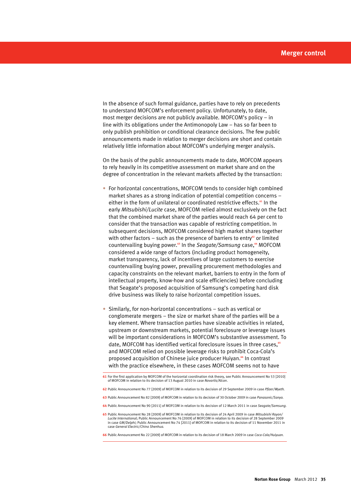In the absence of such formal guidance, parties have to rely on precedents to understand MOFCOM's enforcement policy. Unfortunately, to date, most merger decisions are not publicly available. MOFCOM's policy – in line with its obligations under the Antimonopoly Law – has so far been to only publish prohibition or conditional clearance decisions. The few public announcements made in relation to merger decisions are short and contain relatively little information about MOFCOM's underlying merger analysis.

On the basis of the public announcements made to date, MOFCOM appears to rely heavily in its competitive assessment on market share and on the degree of concentration in the relevant markets affected by the transaction:

- For horizontal concentrations, MOFCOM tends to consider high combined market shares as a strong indication of potential competition concerns – either in the form of unilateral or coordinated restrictive effects.**61** In the early *Mitsubishi/Lucite* case, MOFCOM relied almost exclusively on the fact that the combined market share of the parties would reach 64 per cent to consider that the transaction was capable of restricting competition. In subsequent decisions, MOFCOM considered high market shares together with other factors – such as the presence of barriers to entry<sup>62</sup> or limited countervailing buying power.**63** In the *Seagate/Samsung* case,**64** MOFCOM considered a wide range of factors (including product homogeneity, market transparency, lack of incentives of large customers to exercise countervailing buying power, prevailing procurement methodologies and capacity constraints on the relevant market, barriers to entry in the form of intellectual property, know-how and scale efficiencies) before concluding that Seagate's proposed acquisition of Samsung's competing hard disk drive business was likely to raise horizontal competition issues.
- Similarly, for non-horizontal concentrations such as vertical or conglomerate mergers – the size or market share of the parties will be a key element. Where transaction parties have sizeable activities in related, upstream or downstream markets, potential foreclosure or leverage issues will be important considerations in MOFCOM's substantive assessment. To date, MOFCOM has identified vertical foreclosure issues in three cases,**<sup>65</sup>** and MOFCOM relied on possible leverage risks to prohibit Coca-Cola's proposed acquisition of Chinese juice producer Huiyan.**66** In contrast with the practice elsewhere, in these cases MOFCOM seems not to have

- **62** Public Announcement No 77 [2009] of MOFCOM in relation to its decision of 29 September 2009 in case *Pfizer/Wyeth.*
- **63** Public Announcement No 82 [2009] of MOFCOM in relation to its decision of 30 October 2009 in case *Panasonic/Sanyo.*
- **64** Public Announcement No 90 [2011] of MOFCOM in relation to its decision of 12 March 2011 in case *Seagate/Samsung.*
- **65** Public Announcement No 28 [2009] of MOFCOM in relation to its decision of 24 April 2009 in case *Mitsubishi Rayon/ Lucite International*; Public Announcement No 76 [2009] of MOFCOM in relation to its decision of 28 September 2009 in case *GM/Delphi;* Public Announcement No 74 [2011] of MOFCOM in relation to its decision of 11 November 2011 in case *General Electric/China Shenhua.*

**66** Public Announcement No 22 [2009] of MOFCOM in relation to its decision of 18 March 2009 in case *Coca-Cola/Huiyuan.*

**<sup>61</sup>** For the first application by MOFCOM of the horizontal coordination risk theory, see Public Announcement No 53 [2010] of MOFCOM in relation to its decision of 13 August 2010 in case *Novartis/Alcon*.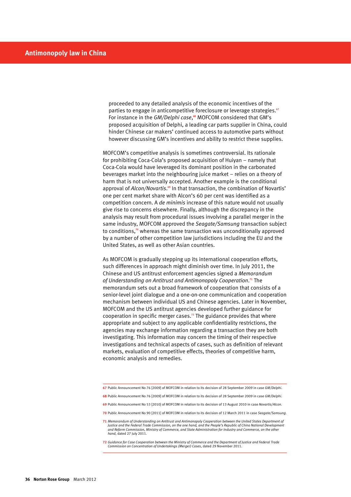proceeded to any detailed analysis of the economic incentives of the parties to engage in anticompetitive foreclosure or leverage strategies.**<sup>67</sup>** For instance in the *GM/Delphi case*,<sup>68</sup> MOFCOM considered that GM's proposed acquisition of Delphi, a leading car parts supplier in China, could hinder Chinese car makers' continued access to automotive parts without however discussing GM's incentives and ability to restrict these supplies.

MOFCOM's competitive analysis is sometimes controversial. Its rationale for prohibiting Coca-Cola's proposed acquisition of Huiyan – namely that Coca-Cola would have leveraged its dominant position in the carbonated beverages market into the neighbouring juice market – relies on a theory of harm that is not universally accepted. Another example is the conditional approval of *Alcon/Novartis*.<sup>69</sup> In that transaction, the combination of Novartis' one per cent market share with Alcon's 60 per cent was identified as a competition concern. A *de minimis* increase of this nature would not usually give rise to concerns elsewhere. Finally, although the discrepancy in the analysis may result from procedural issues involving a parallel merger in the same industry, MOFCOM approved the *Seagate/Samsung* transaction subject to conditions,**70** whereas the same transaction was unconditionally approved by a number of other competition law jurisdictions including the EU and the United States, as well as other Asian countries.

As MOFCOM is gradually stepping up its international cooperation efforts, such differences in approach might diminish over time. In July 2011, the Chinese and US antitrust enforcement agencies signed a *Memorandum of Understanding on Antitrust and Antimonopoly Cooperation*. **<sup>71</sup>** The memorandum sets out a broad framework of cooperation that consists of a senior-level joint dialogue and a one-on-one communication and cooperation mechanism between individual US and Chinese agencies. Later in November, MOFCOM and the US antitrust agencies developed further guidance for cooperation in specific merger cases.**72** The guidance provides that where appropriate and subject to any applicable confidentiality restrictions, the agencies may exchange information regarding a transaction they are both investigating. This information may concern the timing of their respective investigations and technical aspects of cases, such as definition of relevant markets, evaluation of competitive effects, theories of competitive harm, economic analysis and remedies.

- **68** Public Announcement No 76 [2009] of MOFCOM in relation to its decision of 28 September 2009 in case *GM/Delphi.*
- **69** Public Announcement No 53 [2010] of MOFCOM in relation to its decision of 13 August 2010 in case *Novartis/Alcon.*
- **70** Public Announcement No 90 [2011] of MOFCOM in relation to its decision of 12 March 2011 in case *Seagate/Samsung.*
- **71** *Memorandum of Understanding on Antitrust and Antimonopoly Cooperation between the United States Department of Justice and the Federal Trade Commission, on the one hand, and the People's Republic of China National Development and Reform Commission, Ministry of Commerce, and State Administration for Industry and Commerce, on the other hand*, dated 27 July 2011.
- **72** *Guidance for Case Cooperation between the Ministry of Commerce and the Department of Justice and Federal Trade Commission on Concentration of Undertakings (Merger) Cases*, dated 29 November 2011.

**<sup>67</sup>** Public Announcement No 76 [2009] of MOFCOM in relation to its decision of 28 September 2009 in case *GM/Delphi*.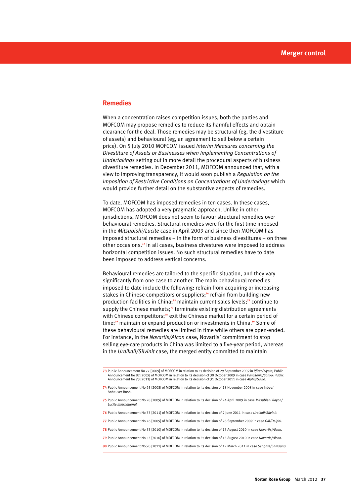# **Remedies**

When a concentration raises competition issues, both the parties and MOFCOM may propose remedies to reduce its harmful effects and obtain clearance for the deal. Those remedies may be structural (eg, the divestiture of assets) and behavioural (eg, an agreement to sell below a certain price). On 5 July 2010 MOFCOM issued *Interim Measures concerning the Divestiture of Assets or Businesses when Implementing Concentrations of Undertakings* setting out in more detail the procedural aspects of business divestiture remedies. In December 2011, MOFCOM announced that, with a view to improving transparency, it would soon publish a *Regulation on the Imposition of Restrictive Conditions on Concentrations of Undertakings* which would provide further detail on the substantive aspects of remedies.

To date, MOFCOM has imposed remedies in ten cases. In these cases, MOFCOM has adopted a very pragmatic approach. Unlike in other jurisdictions, MOFCOM does not seem to favour structural remedies over behavioural remedies. Structural remedies were for the first time imposed in the *Mitsubishi/Lucite* case in April 2009 and since then MOFCOM has imposed structural remedies – in the form of business divestitures – on three other occasions.**73** In all cases, business divestures were imposed to address horizontal competition issues. No such structural remedies have to date been imposed to address vertical concerns.

Behavioural remedies are tailored to the specific situation, and they vary significantly from one case to another. The main behavioural remedies imposed to date include the following: refrain from acquiring or increasing stakes in Chinese competitors or suppliers;**74** refrain from building new production facilities in China;**75** maintain current sales levels;**76** continue to supply the Chinese markets;<sup>77</sup> terminate existing distribution agreements with Chinese competitors;**78** exit the Chinese market for a certain period of time;**79** maintain or expand production or investments in China.**80** Some of these behavioural remedies are limited in time while others are open-ended. For instance, in the *Novartis/Alcon* case, Novartis' commitment to stop selling eye-care products in China was limited to a five-year period, whereas in the *Uralkali/Silvinit* case, the merged entity committed to maintain

- **74** Public Announcement No 95 [2008] of MOFCOM in relation to its decision of 18 November 2008 in case Inbev/ Anheuser-Bush.
- **75** Public Announcement No 28 [2009] of MOFCOM in relation to its decision of 24 April 2009 in case *Mitsubishi Rayon/ Lucite International.*
- **76** Public Announcement No 33 [2011] of MOFCOM in relation to its decision of 2 June 2011 in case *Uralkali/Silvinit.*
- **77** Public Announcement No 76 [2009] of MOFCOM in relation to its decision of 28 September 2009 in case *GM/Delphi.*
- **78** Public Announcement No 53 [2010] of MOFCOM in relation to its decision of 13 August 2010 in case *Novartis/Alcon.*
- **79** Public Announcement No 53 [2010] of MOFCOM in relation to its decision of 13 August 2010 in case *Novartis/Alcon.*
- **80** Public Announcement No 90 [2011] of MOFCOM in relation to its decision of 12 March 2011 in case *Seagate/Samsung.*

**<sup>73</sup>** Public Announcement No 77 [2009] of MOFCOM in relation to its decision of 29 September 2009 in *Pfizer/Wyeth;* Public Announcement No 82 [2009] of MOFCOM in relation to its decision of 30 October 2009 in case *Panasonic/Sanyo;* Public<br>Announcement No 73 [2011] of MOFCOM in relation to its decision of 31 October 2011 in case *Alpha/Savio.*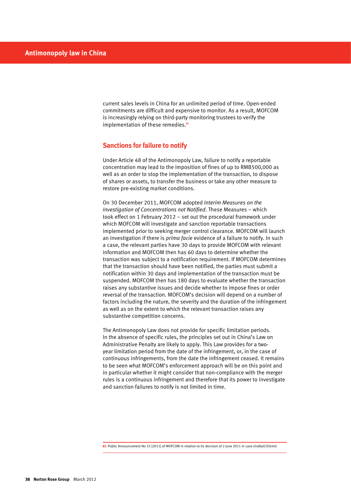current sales levels in China for an unlimited period of time. Open-ended commitments are difficult and expensive to monitor. As a result, MOFCOM is increasingly relying on third-party monitoring trustees to verify the implementation of these remedies.**<sup>81</sup>**

# **Sanctions for failure to notify**

Under Article 48 of the Antimonopoly Law, failure to notify a reportable concentration may lead to the imposition of fines of up to RMB500,000 as well as an order to stop the implementation of the transaction, to dispose of shares or assets, to transfer the business or take any other measure to restore pre-existing market conditions.

On 30 December 2011, MOFCOM adopted *Interim Measures on the Investigation of Concentrations not Notified*. These Measures – which took effect on 1 February 2012 – set out the procedural framework under which MOFCOM will investigate and sanction reportable transactions implemented prior to seeking merger control clearance. MOFCOM will launch an investigation if there is *prima facie* evidence of a failure to notify. In such a case, the relevant parties have 30 days to provide MOFCOM with relevant information and MOFCOM then has 60 days to determine whether the transaction was subject to a notification requirement. If MOFCOM determines that the transaction should have been notified, the parties must submit a notification within 30 days and implementation of the transaction must be suspended. MOFCOM then has 180 days to evaluate whether the transaction raises any substantive issues and decide whether to impose fines or order reversal of the transaction. MOFCOM's decision will depend on a number of factors including the nature, the severity and the duration of the infringement as well as on the extent to which the relevant transaction raises any substantive competition concerns.

The Antimonopoly Law does not provide for specific limitation periods. In the absence of specific rules, the principles set out in China's Law on Administrative Penalty are likely to apply. This Law provides for a twoyear limitation period from the date of the infringement, or, in the case of continuous infringements, from the date the infringement ceased. It remains to be seen what MOFCOM's enforcement approach will be on this point and in particular whether it might consider that non-compliance with the merger rules is a continuous infringement and therefore that its power to investigate and sanction failures to notify is not limited in time.

**81** Public Announcement No 33 [2011] of MOFCOM in relation to its decision of 2 June 2011 in case *Uralkali/Silvinit.*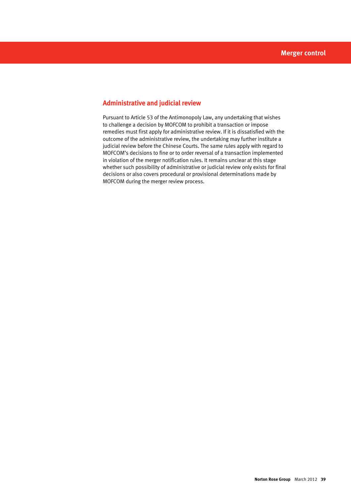# **Administrative and judicial review**

Pursuant to Article 53 of the Antimonopoly Law, any undertaking that wishes to challenge a decision by MOFCOM to prohibit a transaction or impose remedies must first apply for administrative review. If it is dissatisfied with the outcome of the administrative review, the undertaking may further institute a judicial review before the Chinese Courts. The same rules apply with regard to MOFCOM's decisions to fine or to order reversal of a transaction implemented in violation of the merger notification rules. It remains unclear at this stage whether such possibility of administrative or judicial review only exists for final decisions or also covers procedural or provisional determinations made by MOFCOM during the merger review process.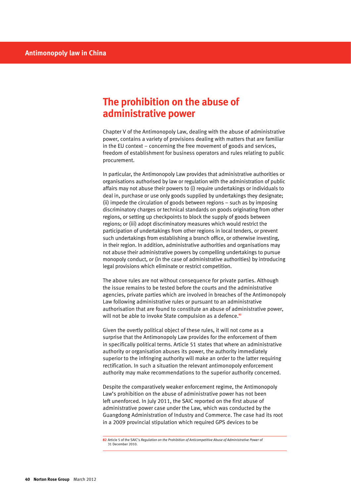# **The prohibition on the abuse of administrative power**

Chapter V of the Antimonopoly Law, dealing with the abuse of administrative power, contains a variety of provisions dealing with matters that are familiar in the EU context – concerning the free movement of goods and services, freedom of establishment for business operators and rules relating to public procurement.

In particular, the Antimonopoly Law provides that administrative authorities or organisations authorised by law or regulation with the administration of public affairs may not abuse their powers to (i) require undertakings or individuals to deal in, purchase or use only goods supplied by undertakings they designate; (ii) impede the circulation of goods between regions – such as by imposing discriminatory charges or technical standards on goods originating from other regions, or setting up checkpoints to block the supply of goods between regions; or (iii) adopt discriminatory measures which would restrict the participation of undertakings from other regions in local tenders, or prevent such undertakings from establishing a branch office, or otherwise investing, in their region. In addition, administrative authorities and organisations may not abuse their administrative powers by compelling undertakings to pursue monopoly conduct, or (in the case of administrative authorities) by introducing legal provisions which eliminate or restrict competition.

The above rules are not without consequence for private parties. Although the issue remains to be tested before the courts and the administrative agencies, private parties which are involved in breaches of the Antimonopoly Law following administrative rules or pursuant to an administrative authorisation that are found to constitute an abuse of administrative power, will not be able to invoke State compulsion as a defence.<sup>82</sup>

Given the overtly political object of these rules, it will not come as a surprise that the Antimonopoly Law provides for the enforcement of them in specifically political terms. Article 51 states that where an administrative authority or organisation abuses its power, the authority immediately superior to the infringing authority will make an order to the latter requiring rectification. In such a situation the relevant antimonopoly enforcement authority may make recommendations to the superior authority concerned.

Despite the comparatively weaker enforcement regime, the Antimonopoly Law's prohibition on the abuse of administrative power has not been left unenforced. In July 2011, the SAIC reported on the first abuse of administrative power case under the Law, which was conducted by the Guangdong Administration of Industry and Commerce. The case had its root in a 2009 provincial stipulation which required GPS devices to be

**<sup>82</sup>** Article 5 of the SAIC's *Regulation on the Prohibition of Anticompetitive Abuse of Administrative Power* of 31 December 2010.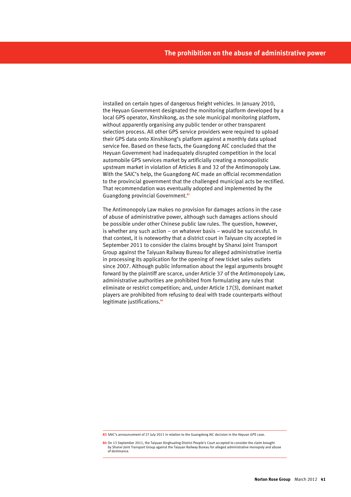installed on certain types of dangerous freight vehicles. In January 2010, the Heyuan Government designated the monitoring platform developed by a local GPS operator, Xinshikong, as the sole municipal monitoring platform, without apparently organising any public tender or other transparent selection process. All other GPS service providers were required to upload their GPS data onto Xinshikong's platform against a monthly data upload service fee. Based on these facts, the Guangdong AIC concluded that the Heyuan Government had inadequately disrupted competition in the local automobile GPS services market by artificially creating a monopolistic upstream market in violation of Articles 8 and 32 of the Antimonopoly Law. With the SAIC's help, the Guangdong AIC made an official recommendation to the provincial government that the challenged municipal acts be rectified. That recommendation was eventually adopted and implemented by the Guangdong provincial Government.**<sup>83</sup>**

The Antimonopoly Law makes no provision for damages actions in the case of abuse of administrative power, although such damages actions should be possible under other Chinese public law rules. The question, however, is whether any such action – on whatever basis – would be successful. In that context, it is noteworthy that a district court in Taiyuan city accepted in September 2011 to consider the claims brought by Shanxi Joint Transport Group against the Taiyuan Railway Bureau for alleged administrative inertia in processing its application for the opening of new ticket sales outlets since 2007. Although public information about the legal arguments brought forward by the plaintiff are scarce, under Article 37 of the Antimonopoly Law, administrative authorities are prohibited from formulating any rules that eliminate or restrict competition; and, under Article 17(3), dominant market players are prohibited from refusing to deal with trade counterparts without legitimate justifications.**<sup>84</sup>**

**<sup>83</sup>** SAIC's announcement of 27 July 2011 in relation to the Guangdong AIC decision in the *Heyuan GPS* case.

**<sup>84</sup>** On 13 September 2011, the Taiyuan Xinghualing District People's Court accepted to consider the claim brought by Shanxi Joint Transport Group against the Taiyuan Railway Bureau for alleged administrative monopoly and abuse of dominance.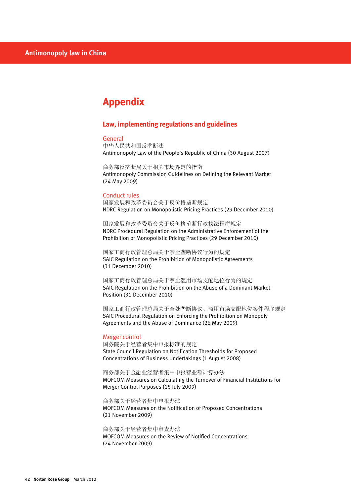# **Appendix**

# **Law, implementing regulations and guidelines**

### General

中华人民共和国反垄断法 Antimonopoly Law of the People's Republic of China (30 August 2007)

商务部反垄断局关于相关市场界定的指南 Antimonopoly Commission Guidelines on Defining the Relevant Market (24 May 2009)

#### Conduct rules

国家发展和改革委员会关于反价格垄断规定 NDRC Regulation on Monopolistic Pricing Practices (29 December 2010)

国家发展和改革委员会关于反价格垄断行政执法程序规定 NDRC Procedural Regulation on the Administrative Enforcement of the Prohibition of Monopolistic Pricing Practices (29 December 2010)

国家工商行政管理总局关于禁止垄断协议行为的规定 SAIC Regulation on the Prohibition of Monopolistic Agreements (31 December 2010)

国家工商行政管理总局关于禁止滥用市场支配地位行为的规定 SAIC Regulation on the Prohibition on the Abuse of a Dominant Market Position (31 December 2010)

国家工商行政管理总局关于查处垄断协议、滥用市场支配地位案件程序规定 SAIC Procedural Regulation on Enforcing the Prohibition on Monopoly Agreements and the Abuse of Dominance (26 May 2009)

#### Merger control

国务院关于经营者集中申报标准的规定 State Council Regulation on Notification Thresholds for Proposed Concentrations of Business Undertakings (1 August 2008)

商务部关于金融业经营者集中申报营业额计算办法 MOFCOM Measures on Calculating the Turnover of Financial Institutions for Merger Control Purposes (15 July 2009)

商务部关于经营者集中申报办法 MOFCOM Measures on the Notification of Proposed Concentrations (21 November 2009)

商务部关于经营者集中审查办法

MOFCOM Measures on the Review of Notified Concentrations (24 November 2009)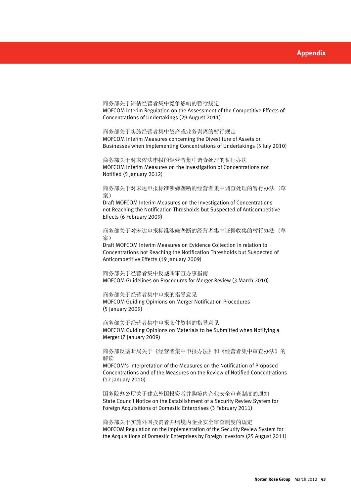商务部关于评估经营者集中竞争影响的暂行规定 MOFCOM Interim Regulation on the Assessment of the Competitive Effects of Concentrations of Undertakings (29 August 2011)

商务部关于实施经营者集中资产或业务剥离的暂行规定 MOFCOM Interim Measures concerning the Divestiture of Assets or Businesses when Implementing Concentrations of Undertakings (5 July 2010)

商务部关于对未依法申报的经营者集中调查处理的暂行办法 MOFCOM Interim Measures on the Investigation of Concentrations not Notified (5 January 2012)

商务部关于对未达申报标准涉嫌垄断的经营者集中调查处理的暂行办法 (草 案)

Draft MOFCOM Interim Measures on the Investigation of Concentrations not Reaching the Notification Thresholds but Suspected of Anticompetitive Effects (6 February 2009)

商务部关于对未达申报标准涉嫌垄断的经营者集中证据收集的暂行办法 (草 案)

Draft MOFCOM Interim Measures on Evidence Collection in relation to Concentrations not Reaching the Notification Thresholds but Suspected of Anticompetitive Effects (19 January 2009)

商务部关于经营者集中反垄断审查办事指南 MOFCOM Guidelines on Procedures for Merger Review (3 March 2010)

商务部关于经营者集中申报的指导意见 MOFCOM Guiding Opinions on Merger Notification Procedures (5 January 2009)

商务部关于经营者集中申报文件资料的指导意见 MOFCOM Guiding Opinions on Materials to be Submitted when Notifying a Merger (7 January 2009)

商务部反垄断局关于《经营者集中申报办法》和《经营者集中审查办法》的 解读

MOFCOM's interpretation of the Measures on the Notification of Proposed Concentrations and of the Measures on the Review of Notified Concentrations (12 January 2010)

国务院办公厅关于建立外国投资者并购境内企业安全审查制度的通知 State Council Notice on the Establishment of a Security Review System for Foreign Acquisitions of Domestic Enterprises (3 February 2011)

商务部关于实施外国投资者并购境内企业安全审查制度的规定 MOFCOM Regulation on the Implementation of the Security Review System for the Acquisitions of Domestic Enterprises by Foreign Investors (25 August 2011)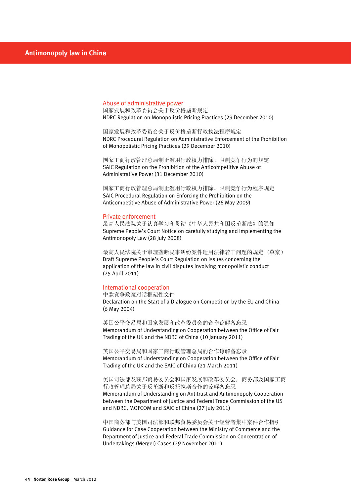#### Abuse of administrative power

国家发展和改革委员会关于反价格垄断规定 NDRC Regulation on Monopolistic Pricing Practices (29 December 2010)

国家发展和改革委员会关于反价格垄断行政执法程序规定 NDRC Procedural Regulation on Administrative Enforcement of the Prohibition of Monopolistic Pricing Practices (29 December 2010)

国家工商行政管理总局制止滥用行政权力排除、限制竞争行为的规定 SAIC Regulation on the Prohibition of the Anticompetitive Abuse of Administrative Power (31 December 2010)

国家工商行政管理总局制止滥用行政权力排除、限制竞争行为程序规定 SAIC Procedural Regulation on Enforcing the Prohibition on the Anticompetitive Abuse of Administrative Power (26 May 2009)

#### Private enforcement

最高人民法院关于认真学习和贯彻《中华人民共和国反垄断法》的通知 Supreme People's Court Notice on carefully studying and implementing the Antimonopoly Law (28 July 2008)

最高人民法院关于审理垄断民事纠纷案件适用法律若干问题的规定 (草案) Draft Supreme People's Court Regulation on issues concerning the application of the law in civil disputes involving monopolistic conduct (25 April 2011)

#### International cooperation

中欧竞争政策对话框架性文件 Declaration on the Start of a Dialogue on Competition by the EU and China (6 May 2004)

英国公平交易局和国家发展和改革委员会的合作谅解备忘录 Memorandum of Understanding on Cooperation between the Office of Fair Trading of the UK and the NDRC of China (10 January 2011)

英国公平交易局和国家工商行政管理总局的合作谅解备忘录 Memorandum of Understanding on Cooperation between the Office of Fair Trading of the UK and the SAIC of China (21 March 2011)

美国司法部及联邦贸易委员会和国家发展和改革委员会, 商务部及国家工商 行政管理总局关于反垄断和反托拉斯合作的谅解备忘录 Memorandum of Understanding on Antitrust and Antimonopoly Cooperation between the Department of Justice and Federal Trade Commission of the US and NDRC, MOFCOM and SAIC of China (27 July 2011)

中国商务部与美国司法部和联邦贸易委员会关于经营者集中案件合作指引 Guidance for Case Cooperation between the Ministry of Commerce and the Department of Justice and Federal Trade Commission on Concentration of Undertakings (Merger) Cases (29 November 2011)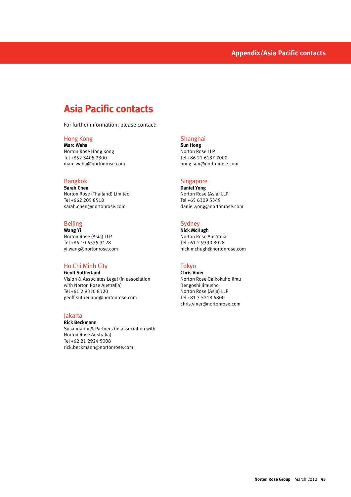# **Asia Pacific contacts**

For further information, please contact:

# Hong Kong

**Marc Waha** Norton Rose Hong Kong Tel +852 3405 2300 marc.waha@nortonrose.com

# Bangkok

**Sarah Chen** Norton Rose (Thailand) Limited Tel +662 205 8518 sarah.chen@nortonrose.com

# Beijing

**Wang Yi** Norton Rose (Asia) LLP Tel +86 10 6535 3128 yi.wang@nortonrose.com

## Ho Chi Minh City

**Geoff Sutherland** Vision & Associates Legal (in association with Norton Rose Australia) Tel +61 2 9330 8320 geoff.sutherland@nortonrose.com

# Jakarta

**Rick Beckmann** Susandarini & Partners (in association with Norton Rose Australia) Tel +62 21 2924 5008 rick.beckmann@nortonrose.com

# Shanghai

**Sun Hong** Norton Rose LLP Tel +86 21 6137 7000 hong.sun@nortonrose.com

#### Singapore

**Daniel Yong** Norton Rose (Asia) LLP Tel +65 6309 5349 daniel.yong@nortonrose.com

# **Sydney**

**Nick McHugh** Norton Rose Australia Tel +61 2 9330 8028 nick.mchugh@nortonrose.com

### Tokyo

**Chris Viner** Norton Rose Gaikokuho Jimu Bengoshi Jimusho Norton Rose (Asia) LLP Tel +81 3 5218 6800 chris.viner@nortonrose.com